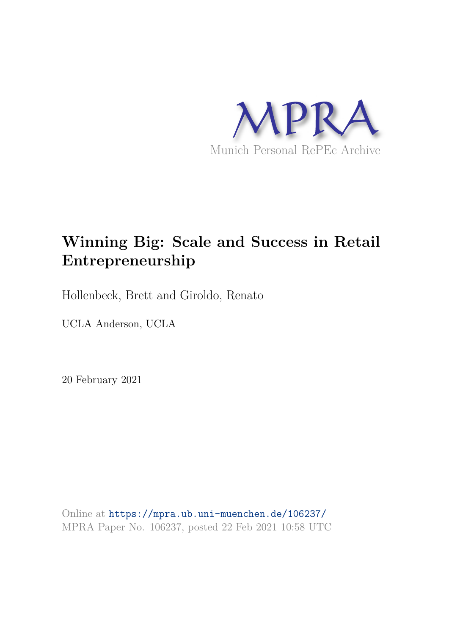

# **Winning Big: Scale and Success in Retail Entrepreneurship**

Hollenbeck, Brett and Giroldo, Renato

UCLA Anderson, UCLA

20 February 2021

Online at https://mpra.ub.uni-muenchen.de/106237/ MPRA Paper No. 106237, posted 22 Feb 2021 10:58 UTC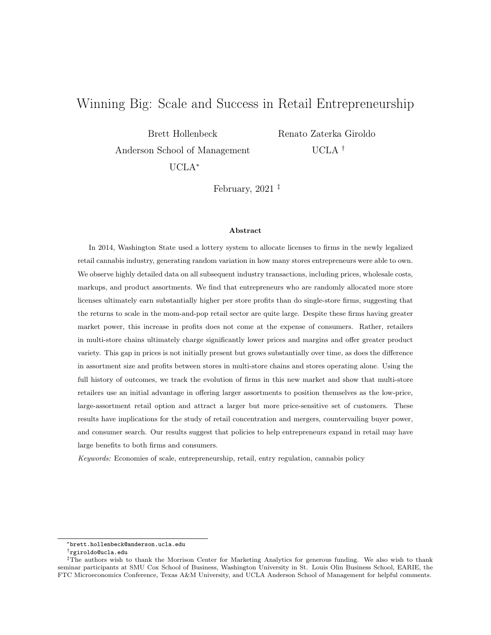# Winning Big: Scale and Success in Retail Entrepreneurship

Brett Hollenbeck

Renato Zaterka Giroldo

Anderson School of Management

UCLA †

UCLA<sup>∗</sup>

February,  $2021$ <sup> $\ddagger$ </sup>

#### Abstract

In 2014, Washington State used a lottery system to allocate licenses to firms in the newly legalized retail cannabis industry, generating random variation in how many stores entrepreneurs were able to own. We observe highly detailed data on all subsequent industry transactions, including prices, wholesale costs, markups, and product assortments. We find that entrepreneurs who are randomly allocated more store licenses ultimately earn substantially higher per store profits than do single-store firms, suggesting that the returns to scale in the mom-and-pop retail sector are quite large. Despite these firms having greater market power, this increase in profits does not come at the expense of consumers. Rather, retailers in multi-store chains ultimately charge significantly lower prices and margins and offer greater product variety. This gap in prices is not initially present but grows substantially over time, as does the difference in assortment size and profits between stores in multi-store chains and stores operating alone. Using the full history of outcomes, we track the evolution of firms in this new market and show that multi-store retailers use an initial advantage in offering larger assortments to position themselves as the low-price, large-assortment retail option and attract a larger but more price-sensitive set of customers. These results have implications for the study of retail concentration and mergers, countervailing buyer power, and consumer search. Our results suggest that policies to help entrepreneurs expand in retail may have large benefits to both firms and consumers.

Keywords: Economies of scale, entrepreneurship, retail, entry regulation, cannabis policy

<sup>∗</sup>brett.hollenbeck@anderson.ucla.edu

<sup>†</sup>rgiroldo@ucla.edu

<sup>‡</sup>The authors wish to thank the Morrison Center for Marketing Analytics for generous funding. We also wish to thank seminar participants at SMU Cox School of Business, Washington University in St. Louis Olin Business School, EARIE, the FTC Microeconomics Conference, Texas A&M University, and UCLA Anderson School of Management for helpful comments.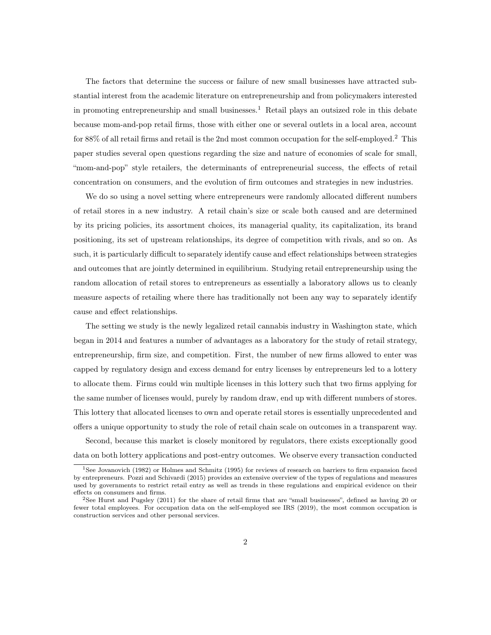The factors that determine the success or failure of new small businesses have attracted substantial interest from the academic literature on entrepreneurship and from policymakers interested in promoting entrepreneurship and small businesses.<sup>1</sup> Retail plays an outsized role in this debate because mom-and-pop retail firms, those with either one or several outlets in a local area, account for 88% of all retail firms and retail is the 2nd most common occupation for the self-employed.<sup>2</sup> This paper studies several open questions regarding the size and nature of economies of scale for small, "mom-and-pop" style retailers, the determinants of entrepreneurial success, the effects of retail concentration on consumers, and the evolution of firm outcomes and strategies in new industries.

We do so using a novel setting where entrepreneurs were randomly allocated different numbers of retail stores in a new industry. A retail chain's size or scale both caused and are determined by its pricing policies, its assortment choices, its managerial quality, its capitalization, its brand positioning, its set of upstream relationships, its degree of competition with rivals, and so on. As such, it is particularly difficult to separately identify cause and effect relationships between strategies and outcomes that are jointly determined in equilibrium. Studying retail entrepreneurship using the random allocation of retail stores to entrepreneurs as essentially a laboratory allows us to cleanly measure aspects of retailing where there has traditionally not been any way to separately identify cause and effect relationships.

The setting we study is the newly legalized retail cannabis industry in Washington state, which began in 2014 and features a number of advantages as a laboratory for the study of retail strategy, entrepreneurship, firm size, and competition. First, the number of new firms allowed to enter was capped by regulatory design and excess demand for entry licenses by entrepreneurs led to a lottery to allocate them. Firms could win multiple licenses in this lottery such that two firms applying for the same number of licenses would, purely by random draw, end up with different numbers of stores. This lottery that allocated licenses to own and operate retail stores is essentially unprecedented and offers a unique opportunity to study the role of retail chain scale on outcomes in a transparent way.

Second, because this market is closely monitored by regulators, there exists exceptionally good data on both lottery applications and post-entry outcomes. We observe every transaction conducted

<sup>1</sup>See Jovanovich (1982) or Holmes and Schmitz (1995) for reviews of research on barriers to firm expansion faced by entrepreneurs. Pozzi and Schivardi (2015) provides an extensive overview of the types of regulations and measures used by governments to restrict retail entry as well as trends in these regulations and empirical evidence on their effects on consumers and firms.

<sup>2</sup>See Hurst and Pugsley (2011) for the share of retail firms that are "small businesses", defined as having 20 or fewer total employees. For occupation data on the self-employed see IRS (2019), the most common occupation is construction services and other personal services.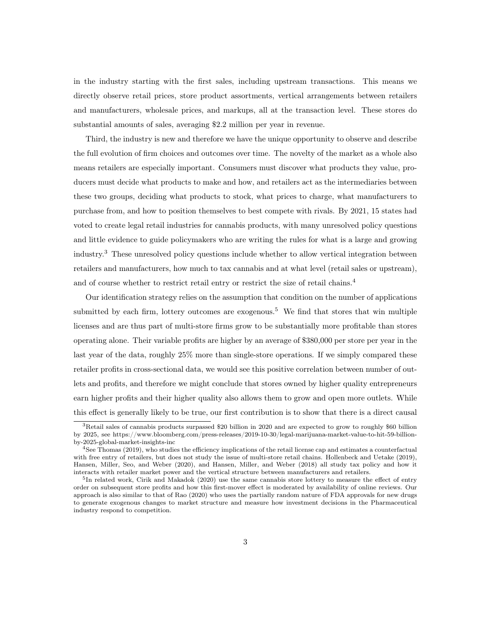in the industry starting with the first sales, including upstream transactions. This means we directly observe retail prices, store product assortments, vertical arrangements between retailers and manufacturers, wholesale prices, and markups, all at the transaction level. These stores do substantial amounts of sales, averaging \$2.2 million per year in revenue.

Third, the industry is new and therefore we have the unique opportunity to observe and describe the full evolution of firm choices and outcomes over time. The novelty of the market as a whole also means retailers are especially important. Consumers must discover what products they value, producers must decide what products to make and how, and retailers act as the intermediaries between these two groups, deciding what products to stock, what prices to charge, what manufacturers to purchase from, and how to position themselves to best compete with rivals. By 2021, 15 states had voted to create legal retail industries for cannabis products, with many unresolved policy questions and little evidence to guide policymakers who are writing the rules for what is a large and growing industry.<sup>3</sup> These unresolved policy questions include whether to allow vertical integration between retailers and manufacturers, how much to tax cannabis and at what level (retail sales or upstream), and of course whether to restrict retail entry or restrict the size of retail chains.<sup>4</sup>

Our identification strategy relies on the assumption that condition on the number of applications submitted by each firm, lottery outcomes are exogenous.<sup>5</sup> We find that stores that win multiple licenses and are thus part of multi-store firms grow to be substantially more profitable than stores operating alone. Their variable profits are higher by an average of \$380,000 per store per year in the last year of the data, roughly 25% more than single-store operations. If we simply compared these retailer profits in cross-sectional data, we would see this positive correlation between number of outlets and profits, and therefore we might conclude that stores owned by higher quality entrepreneurs earn higher profits and their higher quality also allows them to grow and open more outlets. While this effect is generally likely to be true, our first contribution is to show that there is a direct causal

<sup>3</sup>Retail sales of cannabis products surpassed \$20 billion in 2020 and are expected to grow to roughly \$60 billion by 2025, see https://www.bloomberg.com/press-releases/2019-10-30/legal-marijuana-market-value-to-hit-59-billionby-2025-global-market-insights-inc

<sup>4</sup>See Thomas (2019), who studies the efficiency implications of the retail license cap and estimates a counterfactual with free entry of retailers, but does not study the issue of multi-store retail chains. Hollenbeck and Uetake (2019), Hansen, Miller, Seo, and Weber (2020), and Hansen, Miller, and Weber (2018) all study tax policy and how it interacts with retailer market power and the vertical structure between manufacturers and retailers.

<sup>&</sup>lt;sup>5</sup>In related work, Cirik and Makadok (2020) use the same cannabis store lottery to measure the effect of entry order on subsequent store profits and how this first-mover effect is moderated by availability of online reviews. Our approach is also similar to that of Rao (2020) who uses the partially random nature of FDA approvals for new drugs to generate exogenous changes to market structure and measure how investment decisions in the Pharmaceutical industry respond to competition.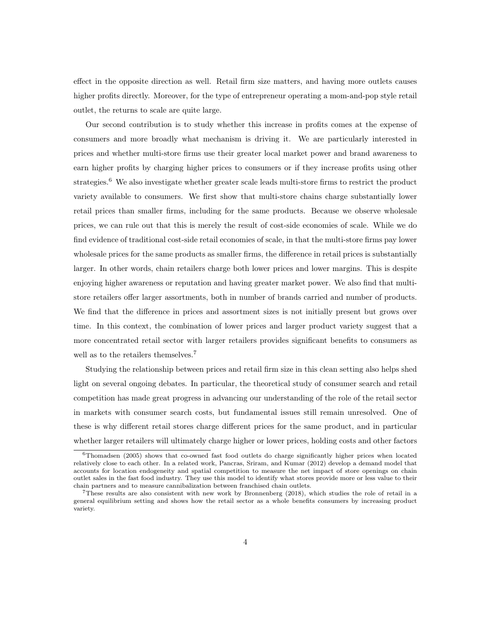effect in the opposite direction as well. Retail firm size matters, and having more outlets causes higher profits directly. Moreover, for the type of entrepreneur operating a mom-and-pop style retail outlet, the returns to scale are quite large.

Our second contribution is to study whether this increase in profits comes at the expense of consumers and more broadly what mechanism is driving it. We are particularly interested in prices and whether multi-store firms use their greater local market power and brand awareness to earn higher profits by charging higher prices to consumers or if they increase profits using other strategies.<sup>6</sup> We also investigate whether greater scale leads multi-store firms to restrict the product variety available to consumers. We first show that multi-store chains charge substantially lower retail prices than smaller firms, including for the same products. Because we observe wholesale prices, we can rule out that this is merely the result of cost-side economies of scale. While we do find evidence of traditional cost-side retail economies of scale, in that the multi-store firms pay lower wholesale prices for the same products as smaller firms, the difference in retail prices is substantially larger. In other words, chain retailers charge both lower prices and lower margins. This is despite enjoying higher awareness or reputation and having greater market power. We also find that multistore retailers offer larger assortments, both in number of brands carried and number of products. We find that the difference in prices and assortment sizes is not initially present but grows over time. In this context, the combination of lower prices and larger product variety suggest that a more concentrated retail sector with larger retailers provides significant benefits to consumers as well as to the retailers themselves.<sup>7</sup>

Studying the relationship between prices and retail firm size in this clean setting also helps shed light on several ongoing debates. In particular, the theoretical study of consumer search and retail competition has made great progress in advancing our understanding of the role of the retail sector in markets with consumer search costs, but fundamental issues still remain unresolved. One of these is why different retail stores charge different prices for the same product, and in particular whether larger retailers will ultimately charge higher or lower prices, holding costs and other factors

<sup>6</sup>Thomadsen (2005) shows that co-owned fast food outlets do charge significantly higher prices when located relatively close to each other. In a related work, Pancras, Sriram, and Kumar (2012) develop a demand model that accounts for location endogeneity and spatial competition to measure the net impact of store openings on chain outlet sales in the fast food industry. They use this model to identify what stores provide more or less value to their chain partners and to measure cannibalization between franchised chain outlets.

<sup>7</sup>These results are also consistent with new work by Bronnenberg (2018), which studies the role of retail in a general equilibrium setting and shows how the retail sector as a whole benefits consumers by increasing product variety.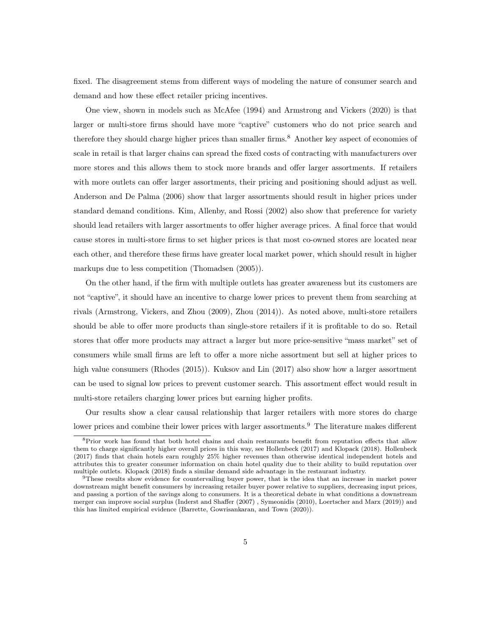fixed. The disagreement stems from different ways of modeling the nature of consumer search and demand and how these effect retailer pricing incentives.

One view, shown in models such as McAfee (1994) and Armstrong and Vickers (2020) is that larger or multi-store firms should have more "captive" customers who do not price search and therefore they should charge higher prices than smaller firms.<sup>8</sup> Another key aspect of economies of scale in retail is that larger chains can spread the fixed costs of contracting with manufacturers over more stores and this allows them to stock more brands and offer larger assortments. If retailers with more outlets can offer larger assortments, their pricing and positioning should adjust as well. Anderson and De Palma (2006) show that larger assortments should result in higher prices under standard demand conditions. Kim, Allenby, and Rossi (2002) also show that preference for variety should lead retailers with larger assortments to offer higher average prices. A final force that would cause stores in multi-store firms to set higher prices is that most co-owned stores are located near each other, and therefore these firms have greater local market power, which should result in higher markups due to less competition (Thomadsen (2005)).

On the other hand, if the firm with multiple outlets has greater awareness but its customers are not "captive", it should have an incentive to charge lower prices to prevent them from searching at rivals (Armstrong, Vickers, and Zhou (2009), Zhou (2014)). As noted above, multi-store retailers should be able to offer more products than single-store retailers if it is profitable to do so. Retail stores that offer more products may attract a larger but more price-sensitive "mass market" set of consumers while small firms are left to offer a more niche assortment but sell at higher prices to high value consumers (Rhodes (2015)). Kuksov and Lin (2017) also show how a larger assortment can be used to signal low prices to prevent customer search. This assortment effect would result in multi-store retailers charging lower prices but earning higher profits.

Our results show a clear causal relationship that larger retailers with more stores do charge lower prices and combine their lower prices with larger assortments.<sup>9</sup> The literature makes different

<sup>8</sup>Prior work has found that both hotel chains and chain restaurants benefit from reputation effects that allow them to charge significantly higher overall prices in this way, see Hollenbeck (2017) and Klopack (2018). Hollenbeck (2017) finds that chain hotels earn roughly 25% higher revenues than otherwise identical independent hotels and attributes this to greater consumer information on chain hotel quality due to their ability to build reputation over multiple outlets. Klopack (2018) finds a similar demand side advantage in the restaurant industry.

<sup>9</sup>These results show evidence for countervailing buyer power, that is the idea that an increase in market power downstream might benefit consumers by increasing retailer buyer power relative to suppliers, decreasing input prices, and passing a portion of the savings along to consumers. It is a theoretical debate in what conditions a downstream merger can improve social surplus (Inderst and Shaffer (2007) , Symeonidis (2010), Loertscher and Marx (2019)) and this has limited empirical evidence (Barrette, Gowrisankaran, and Town (2020)).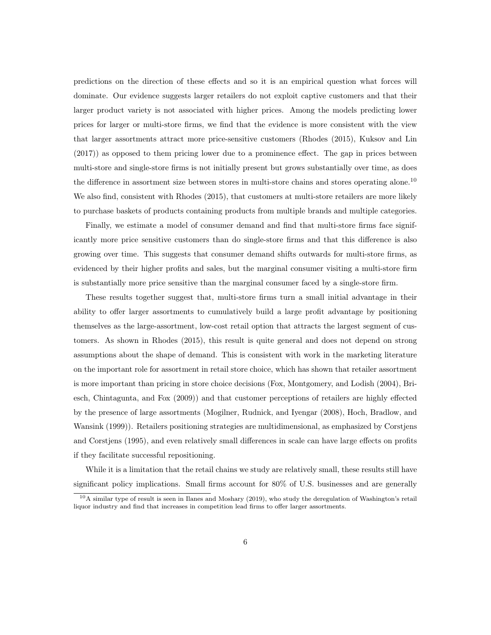predictions on the direction of these effects and so it is an empirical question what forces will dominate. Our evidence suggests larger retailers do not exploit captive customers and that their larger product variety is not associated with higher prices. Among the models predicting lower prices for larger or multi-store firms, we find that the evidence is more consistent with the view that larger assortments attract more price-sensitive customers (Rhodes (2015), Kuksov and Lin (2017)) as opposed to them pricing lower due to a prominence effect. The gap in prices between multi-store and single-store firms is not initially present but grows substantially over time, as does the difference in assortment size between stores in multi-store chains and stores operating alone.<sup>10</sup> We also find, consistent with Rhodes (2015), that customers at multi-store retailers are more likely to purchase baskets of products containing products from multiple brands and multiple categories.

Finally, we estimate a model of consumer demand and find that multi-store firms face significantly more price sensitive customers than do single-store firms and that this difference is also growing over time. This suggests that consumer demand shifts outwards for multi-store firms, as evidenced by their higher profits and sales, but the marginal consumer visiting a multi-store firm is substantially more price sensitive than the marginal consumer faced by a single-store firm.

These results together suggest that, multi-store firms turn a small initial advantage in their ability to offer larger assortments to cumulatively build a large profit advantage by positioning themselves as the large-assortment, low-cost retail option that attracts the largest segment of customers. As shown in Rhodes (2015), this result is quite general and does not depend on strong assumptions about the shape of demand. This is consistent with work in the marketing literature on the important role for assortment in retail store choice, which has shown that retailer assortment is more important than pricing in store choice decisions (Fox, Montgomery, and Lodish (2004), Briesch, Chintagunta, and Fox (2009)) and that customer perceptions of retailers are highly effected by the presence of large assortments (Mogilner, Rudnick, and Iyengar (2008), Hoch, Bradlow, and Wansink (1999)). Retailers positioning strategies are multidimensional, as emphasized by Corstjens and Corstjens (1995), and even relatively small differences in scale can have large effects on profits if they facilitate successful repositioning.

While it is a limitation that the retail chains we study are relatively small, these results still have significant policy implications. Small firms account for 80% of U.S. businesses and are generally

 $10A$  similar type of result is seen in Ilanes and Moshary (2019), who study the deregulation of Washington's retail liquor industry and find that increases in competition lead firms to offer larger assortments.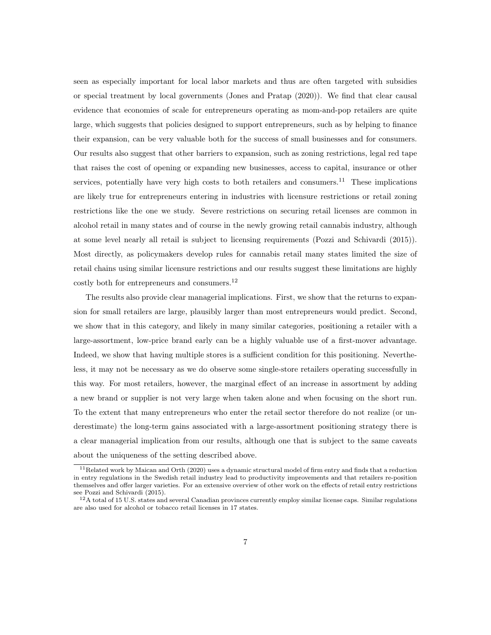seen as especially important for local labor markets and thus are often targeted with subsidies or special treatment by local governments (Jones and Pratap (2020)). We find that clear causal evidence that economies of scale for entrepreneurs operating as mom-and-pop retailers are quite large, which suggests that policies designed to support entrepreneurs, such as by helping to finance their expansion, can be very valuable both for the success of small businesses and for consumers. Our results also suggest that other barriers to expansion, such as zoning restrictions, legal red tape that raises the cost of opening or expanding new businesses, access to capital, insurance or other services, potentially have very high costs to both retailers and consumers.<sup>11</sup> These implications are likely true for entrepreneurs entering in industries with licensure restrictions or retail zoning restrictions like the one we study. Severe restrictions on securing retail licenses are common in alcohol retail in many states and of course in the newly growing retail cannabis industry, although at some level nearly all retail is subject to licensing requirements (Pozzi and Schivardi (2015)). Most directly, as policymakers develop rules for cannabis retail many states limited the size of retail chains using similar licensure restrictions and our results suggest these limitations are highly costly both for entrepreneurs and consumers.<sup>12</sup>

The results also provide clear managerial implications. First, we show that the returns to expansion for small retailers are large, plausibly larger than most entrepreneurs would predict. Second, we show that in this category, and likely in many similar categories, positioning a retailer with a large-assortment, low-price brand early can be a highly valuable use of a first-mover advantage. Indeed, we show that having multiple stores is a sufficient condition for this positioning. Nevertheless, it may not be necessary as we do observe some single-store retailers operating successfully in this way. For most retailers, however, the marginal effect of an increase in assortment by adding a new brand or supplier is not very large when taken alone and when focusing on the short run. To the extent that many entrepreneurs who enter the retail sector therefore do not realize (or underestimate) the long-term gains associated with a large-assortment positioning strategy there is a clear managerial implication from our results, although one that is subject to the same caveats about the uniqueness of the setting described above.

 $11$ Related work by Maican and Orth (2020) uses a dynamic structural model of firm entry and finds that a reduction in entry regulations in the Swedish retail industry lead to productivity improvements and that retailers re-position themselves and offer larger varieties. For an extensive overview of other work on the effects of retail entry restrictions see Pozzi and Schivardi (2015).

<sup>12</sup>A total of 15 U.S. states and several Canadian provinces currently employ similar license caps. Similar regulations are also used for alcohol or tobacco retail licenses in 17 states.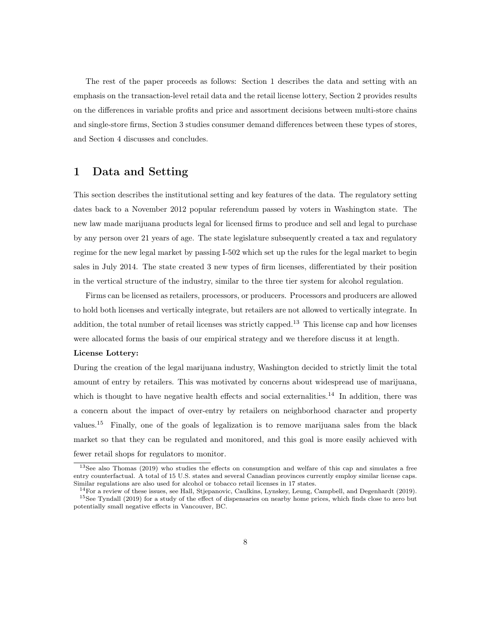The rest of the paper proceeds as follows: Section 1 describes the data and setting with an emphasis on the transaction-level retail data and the retail license lottery, Section 2 provides results on the differences in variable profits and price and assortment decisions between multi-store chains and single-store firms, Section 3 studies consumer demand differences between these types of stores, and Section 4 discusses and concludes.

### 1 Data and Setting

This section describes the institutional setting and key features of the data. The regulatory setting dates back to a November 2012 popular referendum passed by voters in Washington state. The new law made marijuana products legal for licensed firms to produce and sell and legal to purchase by any person over 21 years of age. The state legislature subsequently created a tax and regulatory regime for the new legal market by passing I-502 which set up the rules for the legal market to begin sales in July 2014. The state created 3 new types of firm licenses, differentiated by their position in the vertical structure of the industry, similar to the three tier system for alcohol regulation.

Firms can be licensed as retailers, processors, or producers. Processors and producers are allowed to hold both licenses and vertically integrate, but retailers are not allowed to vertically integrate. In addition, the total number of retail licenses was strictly capped.<sup>13</sup> This license cap and how licenses were allocated forms the basis of our empirical strategy and we therefore discuss it at length.

#### License Lottery:

During the creation of the legal marijuana industry, Washington decided to strictly limit the total amount of entry by retailers. This was motivated by concerns about widespread use of marijuana, which is thought to have negative health effects and social externalities.<sup>14</sup> In addition, there was a concern about the impact of over-entry by retailers on neighborhood character and property values.<sup>15</sup> Finally, one of the goals of legalization is to remove marijuana sales from the black market so that they can be regulated and monitored, and this goal is more easily achieved with fewer retail shops for regulators to monitor.

<sup>&</sup>lt;sup>13</sup>See also Thomas (2019) who studies the effects on consumption and welfare of this cap and simulates a free entry counterfactual. A total of 15 U.S. states and several Canadian provinces currently employ similar license caps. Similar regulations are also used for alcohol or tobacco retail licenses in 17 states.

 $14$ For a review of these issues, see Hall, Stjepanovic, Caulkins, Lynskey, Leung, Campbell, and Degenhardt (2019). <sup>15</sup>See Tyndall (2019) for a study of the effect of dispensaries on nearby home prices, which finds close to zero but potentially small negative effects in Vancouver, BC.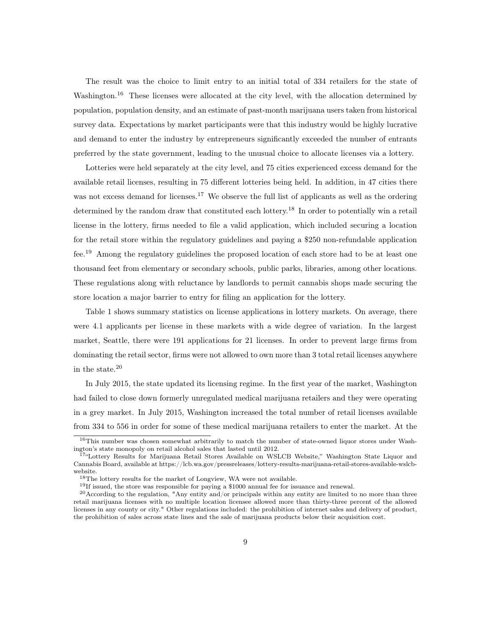The result was the choice to limit entry to an initial total of 334 retailers for the state of Washington.<sup>16</sup> These licenses were allocated at the city level, with the allocation determined by population, population density, and an estimate of past-month marijuana users taken from historical survey data. Expectations by market participants were that this industry would be highly lucrative and demand to enter the industry by entrepreneurs significantly exceeded the number of entrants preferred by the state government, leading to the unusual choice to allocate licenses via a lottery.

Lotteries were held separately at the city level, and 75 cities experienced excess demand for the available retail licenses, resulting in 75 different lotteries being held. In addition, in 47 cities there was not excess demand for licenses.<sup>17</sup> We observe the full list of applicants as well as the ordering determined by the random draw that constituted each lottery.<sup>18</sup> In order to potentially win a retail license in the lottery, firms needed to file a valid application, which included securing a location for the retail store within the regulatory guidelines and paying a \$250 non-refundable application fee.<sup>19</sup> Among the regulatory guidelines the proposed location of each store had to be at least one thousand feet from elementary or secondary schools, public parks, libraries, among other locations. These regulations along with reluctance by landlords to permit cannabis shops made securing the store location a major barrier to entry for filing an application for the lottery.

Table 1 shows summary statistics on license applications in lottery markets. On average, there were 4.1 applicants per license in these markets with a wide degree of variation. In the largest market, Seattle, there were 191 applications for 21 licenses. In order to prevent large firms from dominating the retail sector, firms were not allowed to own more than 3 total retail licenses anywhere in the state.<sup>20</sup>

In July 2015, the state updated its licensing regime. In the first year of the market, Washington had failed to close down formerly unregulated medical marijuana retailers and they were operating in a grey market. In July 2015, Washington increased the total number of retail licenses available from 334 to 556 in order for some of these medical marijuana retailers to enter the market. At the

<sup>16</sup>This number was chosen somewhat arbitrarily to match the number of state-owned liquor stores under Washington's state monopoly on retail alcohol sales that lasted until 2012.

<sup>&</sup>lt;sup>17"</sup>Lottery Results for Marijuana Retail Stores Available on WSLCB Website," Washington State Liquor and Cannabis Board, available at https://lcb.wa.gov/pressreleases/lottery-results-marijuana-retail-stores-available-wslcbwebsite.

<sup>&</sup>lt;sup>18</sup>The lottery results for the market of Longview, WA were not available.

<sup>&</sup>lt;sup>19</sup>If issued, the store was responsible for paying a \$1000 annual fee for issuance and renewal.

<sup>&</sup>lt;sup>20</sup>According to the regulation, "Any entity and/or principals within any entity are limited to no more than three retail marijuana licenses with no multiple location licensee allowed more than thirty-three percent of the allowed licenses in any county or city." Other regulations included: the prohibition of internet sales and delivery of product, the prohibition of sales across state lines and the sale of marijuana products below their acquisition cost.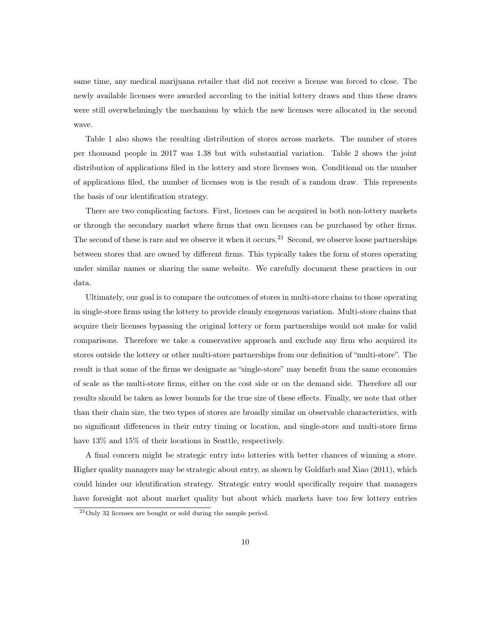same time, any medical marijuana retailer that did not receive a license was forced to close. The newly available licenses were awarded according to the initial lottery draws and thus these draws were still overwhelmingly the mechanism by which the new licenses were allocated in the second wave.

Table 1 also shows the resulting distribution of stores across markets. The number of stores per thousand people in 2017 was 1.38 but with substantial variation. Table 2 shows the joint distribution of applications filed in the lottery and store licenses won. Conditional on the number of applications filed, the number of licenses won is the result of a random draw. This represents the basis of our identification strategy.

There are two complicating factors. First, licenses can be acquired in both non-lottery markets or through the secondary market where firms that own licenses can be purchased by other firms. The second of these is rare and we observe it when it occurs.<sup>21</sup> Second, we observe loose partnerships between stores that are owned by different firms. This typically takes the form of stores operating under similar names or sharing the same website. We carefully document these practices in our data.

Ultimately, our goal is to compare the outcomes of stores in multi-store chains to those operating in single-store firms using the lottery to provide cleanly exogenous variation. Multi-store chains that acquire their licenses bypassing the original lottery or form partnerships would not make for valid comparisons. Therefore we take a conservative approach and exclude any firm who acquired its stores outside the lottery or other multi-store partnerships from our definition of "multi-store". The result is that some of the firms we designate as "single-store" may benefit from the same economies of scale as the multi-store firms, either on the cost side or on the demand side. Therefore all our results should be taken as lower bounds for the true size of these effects. Finally, we note that other than their chain size, the two types of stores are broadly similar on observable characteristics, with no significant differences in their entry timing or location, and single-store and multi-store firms have  $13\%$  and  $15\%$  of their locations in Seattle, respectively.

A final concern might be strategic entry into lotteries with better chances of winning a store. Higher quality managers may be strategic about entry, as shown by Goldfarb and Xiao (2011), which could hinder our identification strategy. Strategic entry would specifically require that managers have foresight not about market quality but about which markets have too few lottery entries

<sup>21</sup>Only 32 licenses are bought or sold during the sample period.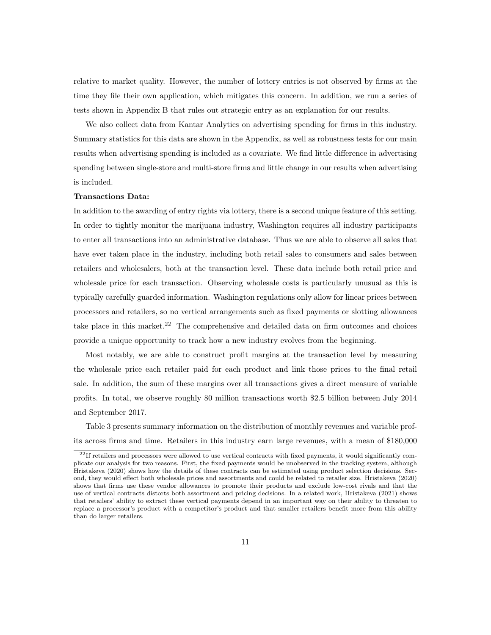relative to market quality. However, the number of lottery entries is not observed by firms at the time they file their own application, which mitigates this concern. In addition, we run a series of tests shown in Appendix B that rules out strategic entry as an explanation for our results.

We also collect data from Kantar Analytics on advertising spending for firms in this industry. Summary statistics for this data are shown in the Appendix, as well as robustness tests for our main results when advertising spending is included as a covariate. We find little difference in advertising spending between single-store and multi-store firms and little change in our results when advertising is included.

#### Transactions Data:

In addition to the awarding of entry rights via lottery, there is a second unique feature of this setting. In order to tightly monitor the marijuana industry, Washington requires all industry participants to enter all transactions into an administrative database. Thus we are able to observe all sales that have ever taken place in the industry, including both retail sales to consumers and sales between retailers and wholesalers, both at the transaction level. These data include both retail price and wholesale price for each transaction. Observing wholesale costs is particularly unusual as this is typically carefully guarded information. Washington regulations only allow for linear prices between processors and retailers, so no vertical arrangements such as fixed payments or slotting allowances take place in this market.<sup>22</sup> The comprehensive and detailed data on firm outcomes and choices provide a unique opportunity to track how a new industry evolves from the beginning.

Most notably, we are able to construct profit margins at the transaction level by measuring the wholesale price each retailer paid for each product and link those prices to the final retail sale. In addition, the sum of these margins over all transactions gives a direct measure of variable profits. In total, we observe roughly 80 million transactions worth \$2.5 billion between July 2014 and September 2017.

Table 3 presents summary information on the distribution of monthly revenues and variable profits across firms and time. Retailers in this industry earn large revenues, with a mean of \$180,000

<sup>22</sup>If retailers and processors were allowed to use vertical contracts with fixed payments, it would significantly complicate our analysis for two reasons. First, the fixed payments would be unobserved in the tracking system, although Hristakeva (2020) shows how the details of these contracts can be estimated using product selection decisions. Second, they would effect both wholesale prices and assortments and could be related to retailer size. Hristakeva (2020) shows that firms use these vendor allowances to promote their products and exclude low-cost rivals and that the use of vertical contracts distorts both assortment and pricing decisions. In a related work, Hristakeva (2021) shows that retailers' ability to extract these vertical payments depend in an important way on their ability to threaten to replace a processor's product with a competitor's product and that smaller retailers benefit more from this ability than do larger retailers.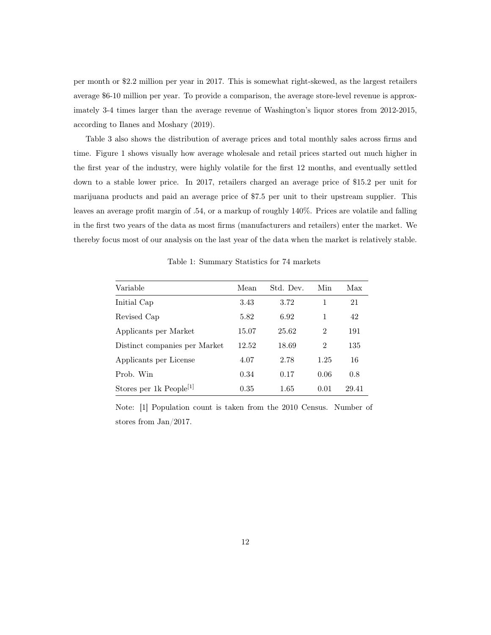per month or \$2.2 million per year in 2017. This is somewhat right-skewed, as the largest retailers average \$6-10 million per year. To provide a comparison, the average store-level revenue is approximately 3-4 times larger than the average revenue of Washington's liquor stores from 2012-2015, according to Ilanes and Moshary (2019).

Table 3 also shows the distribution of average prices and total monthly sales across firms and time. Figure 1 shows visually how average wholesale and retail prices started out much higher in the first year of the industry, were highly volatile for the first 12 months, and eventually settled down to a stable lower price. In 2017, retailers charged an average price of \$15.2 per unit for marijuana products and paid an average price of \$7.5 per unit to their upstream supplier. This leaves an average profit margin of .54, or a markup of roughly 140%. Prices are volatile and falling in the first two years of the data as most firms (manufacturers and retailers) enter the market. We thereby focus most of our analysis on the last year of the data when the market is relatively stable.

Variable Mean Std. Dev. Min Max Initial Cap 3.43 3.72 1 21 Revised Cap 5.82 6.92 1 42 Applicants per Market 15.07 25.62 2 191 Distinct companies per Market 12.52 18.69 2 135 Applicants per License 4.07 2.78 1.25 16 Prob. Win 0.34 0.17 0.06 0.8 Stores per 1k People<sup>[1]</sup> 0.35 1.65 0.01 29.41

Table 1: Summary Statistics for 74 markets

Note: [1] Population count is taken from the 2010 Census. Number of stores from Jan/2017.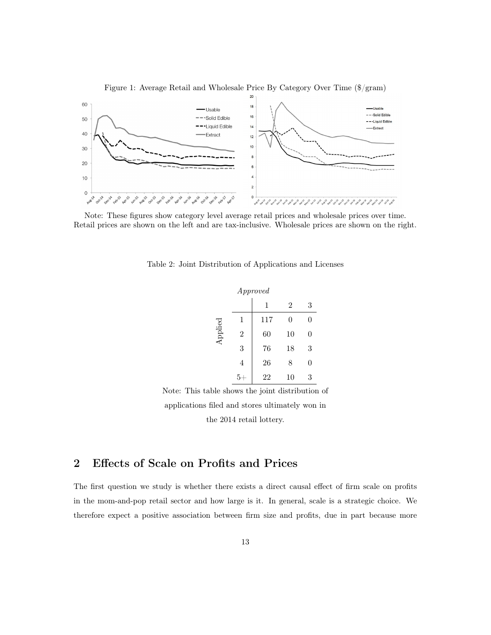

Figure 1: Average Retail and Wholesale Price By Category Over Time (\$/gram)

Note: These figures show category level average retail prices and wholesale prices over time. Retail prices are shown on the left and are tax-inclusive. Wholesale prices are shown on the right.

|         |                | Approved |                |   |
|---------|----------------|----------|----------------|---|
|         |                | 1        | $\overline{2}$ | 3 |
|         | 1              | 117      | 0              | 0 |
| Applied | $\overline{2}$ | 60       | 10             | 0 |
|         | 3              | 76       | 18             | 3 |
|         | 4              | 26       | 8              | 0 |
|         |                | 22       | 10             | 3 |

Table 2: Joint Distribution of Applications and Licenses

Note: This table shows the joint distribution of applications filed and stores ultimately won in the 2014 retail lottery.

# 2 Effects of Scale on Profits and Prices

The first question we study is whether there exists a direct causal effect of firm scale on profits in the mom-and-pop retail sector and how large is it. In general, scale is a strategic choice. We therefore expect a positive association between firm size and profits, due in part because more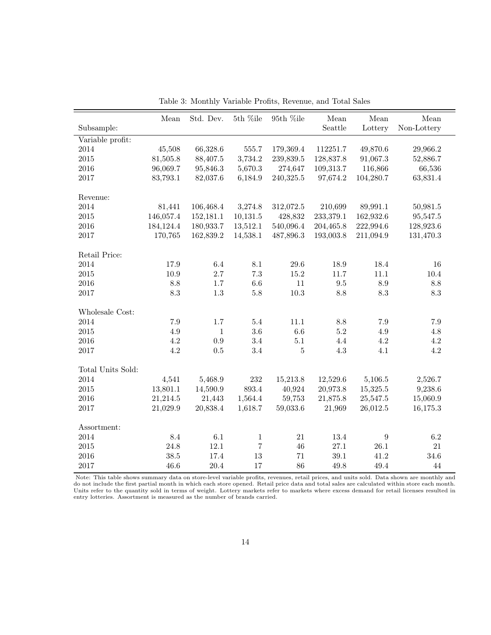|                   | Mean        | Std. Dev.    | $5th$ %ile  | $95th$ %ile | ${\it Mean}$ | Mean             | Mean            |
|-------------------|-------------|--------------|-------------|-------------|--------------|------------------|-----------------|
| Subsample:        |             |              |             |             | Seattle      | Lottery          | Non-Lottery     |
| Variable profit:  |             |              |             |             |              |                  |                 |
| 2014              | 45,508      | 66,328.6     | 555.7       | 179,369.4   | 112251.7     | 49,870.6         | 29,966.2        |
| 2015              | 81,505.8    | 88,407.5     | 3,734.2     | 239,839.5   | 128,837.8    | 91,067.3         | 52,886.7        |
| 2016              | 96,069.7    | 95,846.3     | 5,670.3     | 274,647     | 109,313.7    | 116,866          | 66,536          |
| 2017              | 83,793.1    | 82,037.6     | 6,184.9     | 240,325.5   | 97,674.2     | 104,280.7        | 63,831.4        |
|                   |             |              |             |             |              |                  |                 |
| Revenue:          |             |              |             |             |              |                  |                 |
| 2014              | 81,441      | 106,468.4    | 3,274.8     | 312,072.5   | 210,699      | 89,991.1         | 50,981.5        |
| $2015\,$          | 146,057.4   | 152,181.1    | 10,131.5    | 428,832     | 233,379.1    | 162,932.6        | 95,547.5        |
| $\,2016$          | 184, 124. 4 | 180,933.7    | 13,512.1    | 540,096.4   | 204,465.8    | 222,994.6        | 128,923.6       |
| $2017\,$          | 170,765     | 162,839.2    | 14,538.1    | 487,896.3   | 193,003.8    | 211,094.9        | 131,470.3       |
|                   |             |              |             |             |              |                  |                 |
| Retail Price:     |             |              |             |             |              |                  |                 |
| 2014              | 17.9        | 6.4          | 8.1         | 29.6        | 18.9         | 18.4             | 16              |
| $2015\,$          | 10.9        | $2.7\,$      | 7.3         | 15.2        | 11.7         | 11.1             | 10.4            |
| 2016              | 8.8         | 1.7          | 6.6         | 11          | 9.5          | 8.9              | 8.8             |
| $2017\,$          | 8.3         | $1.3\,$      | 5.8         | $10.3\,$    | 8.8          | $\!\!\!\!\!8.3$  | $\!\!\!\!\!8.3$ |
|                   |             |              |             |             |              |                  |                 |
| Wholesale Cost:   |             |              |             |             |              |                  |                 |
| 2014              | $7.9\,$     | $1.7\,$      | 5.4         | 11.1        | $8.8\,$      | 7.9              | $7.9\,$         |
| $\,2015$          | 4.9         | $\mathbf{1}$ | 3.6         | $6.6\,$     | $5.2\,$      | 4.9              | 4.8             |
| $\,2016$          | 4.2         | 0.9          | 3.4         | $5.1\,$     | 4.4          | 4.2              | $4.2\,$         |
| 2017              | 4.2         | 0.5          | 3.4         | 5           | 4.3          | 4.1              | 4.2             |
|                   |             |              |             |             |              |                  |                 |
| Total Units Sold: |             |              |             |             |              |                  |                 |
| 2014              | 4,541       | 5,468.9      | 232         | 15,213.8    | 12,529.6     | 5,106.5          | 2,526.7         |
| $\,2015$          | 13,801.1    | 14,590.9     | 893.4       | 40,924      | 20,973.8     | 15,325.5         | 9,238.6         |
| $\,2016$          | 21,214.5    | 21,443       | 1,564.4     | 59,753      | 21,875.8     | 25,547.5         | 15,060.9        |
| 2017              | 21,029.9    | 20,838.4     | 1,618.7     | 59,033.6    | 21,969       | 26,012.5         | 16,175.3        |
|                   |             |              |             |             |              |                  |                 |
| Assortment:       |             |              |             |             |              |                  |                 |
| 2014              | 8.4         | $6.1\,$      | $\mathbf 1$ | 21          | 13.4         | $\boldsymbol{9}$ | $6.2\,$         |
| $2015\,$          | 24.8        | 12.1         | 7           | 46          | 27.1         | 26.1             | 21              |
| $\,2016$          | 38.5        | 17.4         | 13          | 71          | 39.1         | 41.2             | 34.6            |
| 2017              | 46.6        | 20.4         | 17          | 86          | 49.8         | 49.4             | 44              |

Table 3: Monthly Variable Profits, Revenue, and Total Sales

Note: This table shows summary data on store-level variable profits, revenues, retail prices, and units sold. Data shown are monthly and<br>do not include the first partial month in which each store opened. Retail price data Units refer to the quantity sold in terms of weight. Lottery markets refer to markets where excess demand for retail licenses resulted in entry lotteries. Assortment is measured as the number of brands carried.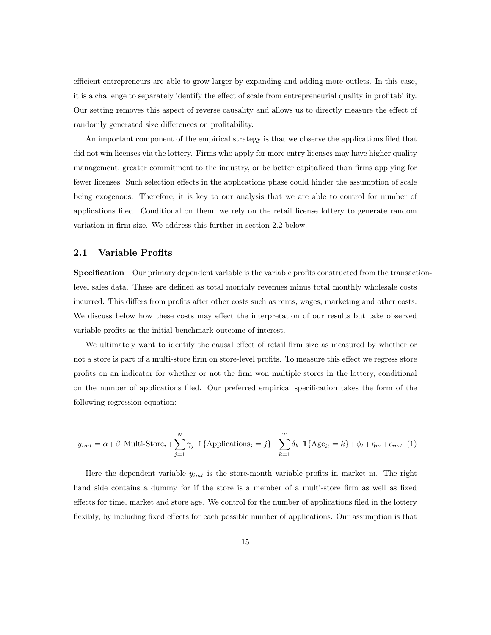efficient entrepreneurs are able to grow larger by expanding and adding more outlets. In this case, it is a challenge to separately identify the effect of scale from entrepreneurial quality in profitability. Our setting removes this aspect of reverse causality and allows us to directly measure the effect of randomly generated size differences on profitability.

An important component of the empirical strategy is that we observe the applications filed that did not win licenses via the lottery. Firms who apply for more entry licenses may have higher quality management, greater commitment to the industry, or be better capitalized than firms applying for fewer licenses. Such selection effects in the applications phase could hinder the assumption of scale being exogenous. Therefore, it is key to our analysis that we are able to control for number of applications filed. Conditional on them, we rely on the retail license lottery to generate random variation in firm size. We address this further in section 2.2 below.

### 2.1 Variable Profits

Specification Our primary dependent variable is the variable profits constructed from the transactionlevel sales data. These are defined as total monthly revenues minus total monthly wholesale costs incurred. This differs from profits after other costs such as rents, wages, marketing and other costs. We discuss below how these costs may effect the interpretation of our results but take observed variable profits as the initial benchmark outcome of interest.

We ultimately want to identify the causal effect of retail firm size as measured by whether or not a store is part of a multi-store firm on store-level profits. To measure this effect we regress store profits on an indicator for whether or not the firm won multiple stores in the lottery, conditional on the number of applications filed. Our preferred empirical specification takes the form of the following regression equation:

$$
y_{imt} = \alpha + \beta \cdot \text{Multi-Store}_{i} + \sum_{j=1}^{N} \gamma_{j} \cdot \mathbbm{1}\{\text{Applications}_{i} = j\} + \sum_{k=1}^{T} \delta_{k} \cdot \mathbbm{1}\{\text{Age}_{it} = k\} + \phi_{t} + \eta_{m} + \epsilon_{imt} \tag{1}
$$

Here the dependent variable  $y_{imt}$  is the store-month variable profits in market m. The right hand side contains a dummy for if the store is a member of a multi-store firm as well as fixed effects for time, market and store age. We control for the number of applications filed in the lottery flexibly, by including fixed effects for each possible number of applications. Our assumption is that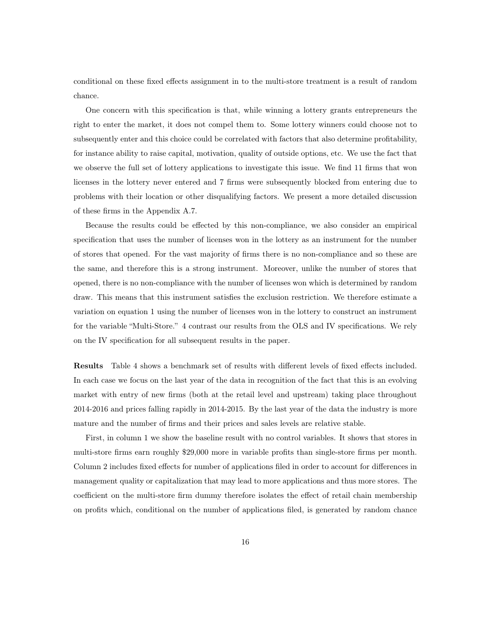conditional on these fixed effects assignment in to the multi-store treatment is a result of random chance.

One concern with this specification is that, while winning a lottery grants entrepreneurs the right to enter the market, it does not compel them to. Some lottery winners could choose not to subsequently enter and this choice could be correlated with factors that also determine profitability, for instance ability to raise capital, motivation, quality of outside options, etc. We use the fact that we observe the full set of lottery applications to investigate this issue. We find 11 firms that won licenses in the lottery never entered and 7 firms were subsequently blocked from entering due to problems with their location or other disqualifying factors. We present a more detailed discussion of these firms in the Appendix A.7.

Because the results could be effected by this non-compliance, we also consider an empirical specification that uses the number of licenses won in the lottery as an instrument for the number of stores that opened. For the vast majority of firms there is no non-compliance and so these are the same, and therefore this is a strong instrument. Moreover, unlike the number of stores that opened, there is no non-compliance with the number of licenses won which is determined by random draw. This means that this instrument satisfies the exclusion restriction. We therefore estimate a variation on equation 1 using the number of licenses won in the lottery to construct an instrument for the variable "Multi-Store." 4 contrast our results from the OLS and IV specifications. We rely on the IV specification for all subsequent results in the paper.

Results Table 4 shows a benchmark set of results with different levels of fixed effects included. In each case we focus on the last year of the data in recognition of the fact that this is an evolving market with entry of new firms (both at the retail level and upstream) taking place throughout 2014-2016 and prices falling rapidly in 2014-2015. By the last year of the data the industry is more mature and the number of firms and their prices and sales levels are relative stable.

First, in column 1 we show the baseline result with no control variables. It shows that stores in multi-store firms earn roughly \$29,000 more in variable profits than single-store firms per month. Column 2 includes fixed effects for number of applications filed in order to account for differences in management quality or capitalization that may lead to more applications and thus more stores. The coefficient on the multi-store firm dummy therefore isolates the effect of retail chain membership on profits which, conditional on the number of applications filed, is generated by random chance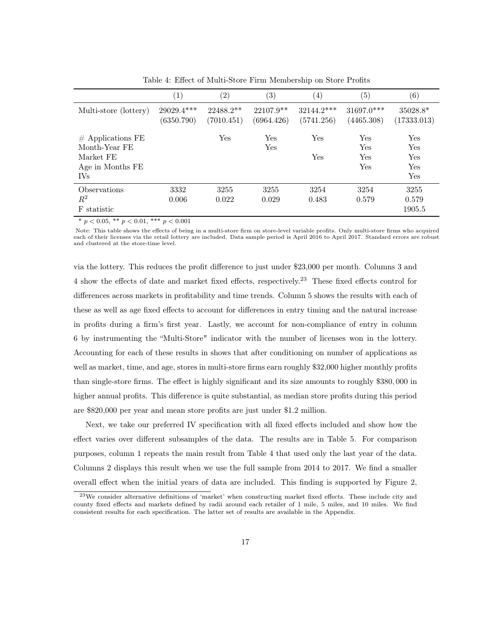|                                                                                     | $\left( 1\right)$          | $\left( 2\right)$         | $\left( 3\right)$         | $\left( 4\right)$          | $\left( 5\right)$          | $\left( 6\right)$                      |
|-------------------------------------------------------------------------------------|----------------------------|---------------------------|---------------------------|----------------------------|----------------------------|----------------------------------------|
| Multi-store (lottery)                                                               | $29029.4***$<br>(6350.790) | $22488.2**$<br>(7010.451) | $22107.9**$<br>(6964.426) | $32144.2***$<br>(5741.256) | $31697.0***$<br>(4465.308) | $35028.8*$<br>(17333.013)              |
| $#$ Applications FE<br>Month-Year FE<br>Market FE<br>Age in Months FE<br><b>IVs</b> |                            | Yes                       | Yes<br>Yes                | Yes<br>Yes                 | Yes<br>Yes<br>Yes<br>Yes   | Yes<br>Yes<br><b>Yes</b><br>Yes<br>Yes |
| Observations<br>$\,R^2$<br>F statistic                                              | 3332<br>0.006              | 3255<br>0.022             | 3255<br>0.029             | 3254<br>0.483              | 3254<br>0.579              | 3255<br>0.579<br>1905.5                |

Table 4: Effect of Multi-Store Firm Membership on Store Profits

\*  $p < 0.05$ , \*\*  $p < 0.01$ , \*\*\*  $p < 0.001$ 

Note: This table shows the effects of being in a multi-store firm on store-level variable profits. Only multi-store firms who acquired each of their licenses via the retail lottery are included. Data sample period is April 2016 to April 2017. Standard errors are robust and clustered at the store-time level.

via the lottery. This reduces the profit difference to just under \$23,000 per month. Columns 3 and 4 show the effects of date and market fixed effects, respectively.<sup>23</sup> These fixed effects control for differences across markets in profitability and time trends. Column 5 shows the results with each of these as well as age fixed effects to account for differences in entry timing and the natural increase in profits during a firm's first year. Lastly, we account for non-compliance of entry in column 6 by instrumenting the "Multi-Store" indicator with the number of licenses won in the lottery. Accounting for each of these results in shows that after conditioning on number of applications as well as market, time, and age, stores in multi-store firms earn roughly \$32,000 higher monthly profits than single-store firms. The effect is highly significant and its size amounts to roughly \$380, 000 in higher annual profits. This difference is quite substantial, as median store profits during this period are \$820,000 per year and mean store profits are just under \$1.2 million.

Next, we take our preferred IV specification with all fixed effects included and show how the effect varies over different subsamples of the data. The results are in Table 5. For comparison purposes, column 1 repeats the main result from Table 4 that used only the last year of the data. Columns 2 displays this result when we use the full sample from 2014 to 2017. We find a smaller overall effect when the initial years of data are included. This finding is supported by Figure 2,

<sup>&</sup>lt;sup>23</sup>We consider alternative definitions of 'market' when constructing market fixed effects. These include city and county fixed effects and markets defined by radii around each retailer of 1 mile, 5 miles, and 10 miles. We find consistent results for each specification. The latter set of results are available in the Appendix.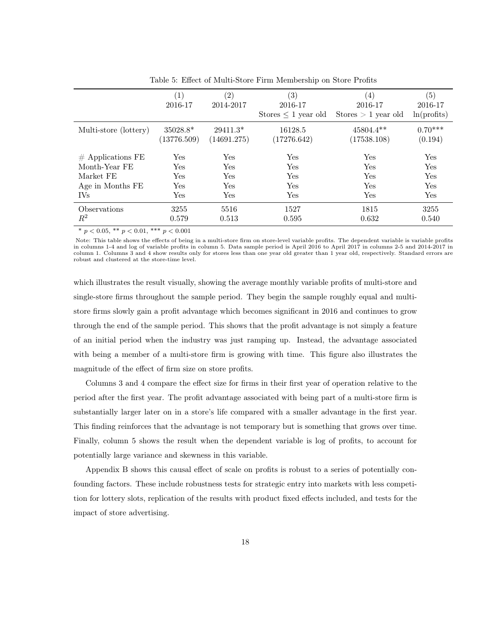|                                     | (1)<br>2016-17            | (2)<br>2014-2017          | (3)<br>2016-17<br>Stores $\leq 1$ year old | (4)<br>2016-17<br>Stores $> 1$ year old | (5)<br>2016-17<br>ln(profits) |
|-------------------------------------|---------------------------|---------------------------|--------------------------------------------|-----------------------------------------|-------------------------------|
| Multi-store (lottery)               | $35028.8*$<br>(13776.509) | $29411.3*$<br>(14691.275) | 16128.5<br>(17276.642)                     | $45804.4**$<br>(17538.108)              | $0.70***$<br>(0.194)          |
| $#$ Applications FE                 | Yes                       | Yes                       | Yes                                        | Yes                                     | Yes                           |
| Month-Year FE                       | Yes                       | Yes                       | Yes                                        | Yes                                     | <b>Yes</b>                    |
| Market FE                           | Yes                       | Yes                       | Yes                                        | Yes                                     | Yes                           |
| Age in Months FE                    | Yes                       | Yes                       | Yes                                        | Yes                                     | Yes                           |
| <b>IVs</b>                          | Yes                       | Yes                       | Yes                                        | <b>Yes</b>                              | Yes                           |
| <i><b>Observations</b></i><br>$R^2$ | 3255<br>0.579             | 5516<br>0.513             | 1527<br>0.595                              | 1815<br>0.632                           | 3255<br>0.540                 |

Table 5: Effect of Multi-Store Firm Membership on Store Profits

\*  $p < 0.05$ , \*\*  $p < 0.01$ , \*\*\*  $p < 0.001$ 

Note: This table shows the effects of being in a multi-store firm on store-level variable profits. The dependent variable is variable profits in columns 1-4 and log of variable profits in column 5. Data sample period is April 2016 to April 2017 in columns 2-5 and 2014-2017 in column 1. Columns 3 and 4 show results only for stores less than one year old greater than 1 year old, respectively. Standard errors are robust and clustered at the store-time level.

which illustrates the result visually, showing the average monthly variable profits of multi-store and single-store firms throughout the sample period. They begin the sample roughly equal and multistore firms slowly gain a profit advantage which becomes significant in 2016 and continues to grow through the end of the sample period. This shows that the profit advantage is not simply a feature of an initial period when the industry was just ramping up. Instead, the advantage associated with being a member of a multi-store firm is growing with time. This figure also illustrates the magnitude of the effect of firm size on store profits.

Columns 3 and 4 compare the effect size for firms in their first year of operation relative to the period after the first year. The profit advantage associated with being part of a multi-store firm is substantially larger later on in a store's life compared with a smaller advantage in the first year. This finding reinforces that the advantage is not temporary but is something that grows over time. Finally, column 5 shows the result when the dependent variable is log of profits, to account for potentially large variance and skewness in this variable.

Appendix B shows this causal effect of scale on profits is robust to a series of potentially confounding factors. These include robustness tests for strategic entry into markets with less competition for lottery slots, replication of the results with product fixed effects included, and tests for the impact of store advertising.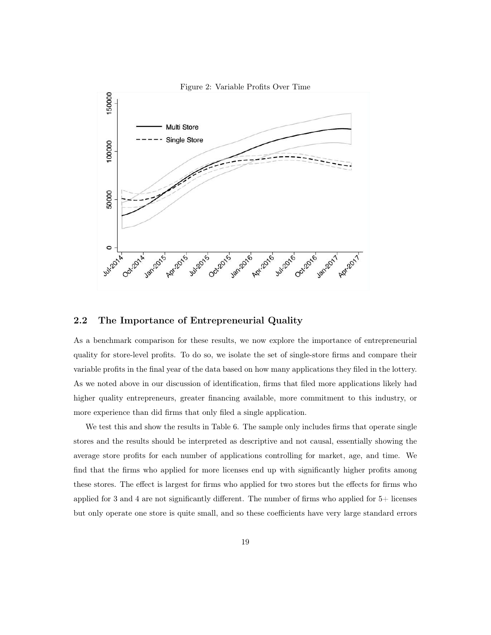

### 2.2 The Importance of Entrepreneurial Quality

As a benchmark comparison for these results, we now explore the importance of entrepreneurial quality for store-level profits. To do so, we isolate the set of single-store firms and compare their variable profits in the final year of the data based on how many applications they filed in the lottery. As we noted above in our discussion of identification, firms that filed more applications likely had higher quality entrepreneurs, greater financing available, more commitment to this industry, or more experience than did firms that only filed a single application.

We test this and show the results in Table 6. The sample only includes firms that operate single stores and the results should be interpreted as descriptive and not causal, essentially showing the average store profits for each number of applications controlling for market, age, and time. We find that the firms who applied for more licenses end up with significantly higher profits among these stores. The effect is largest for firms who applied for two stores but the effects for firms who applied for 3 and 4 are not significantly different. The number of firms who applied for 5+ licenses but only operate one store is quite small, and so these coefficients have very large standard errors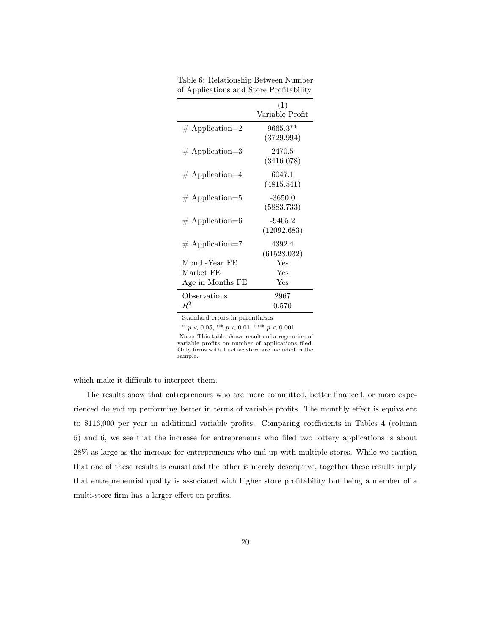|                    | (1)<br>Variable Profit   |
|--------------------|--------------------------|
| $\#$ Application=2 | $9665.3**$<br>(3729.994) |
| $\#$ Application=3 | 2470.5<br>(3416.078)     |
| $#$ Application=4  | 6047.1<br>(4815.541)     |
| $\#$ Application=5 | $-3650.0$<br>(5883.733)  |
| $\#$ Application=6 | $-9405.2$<br>(12092.683) |
| $\#$ Application=7 | 4392.4<br>(61528.032)    |
| Month-Year FE      | Yes                      |
| Market FE          | Yes                      |
| Age in Months FE   | Yes                      |
| Observations       | 2967                     |
| $\,R^2$            | $0.570\,$                |

Table 6: Relationship Between Number of Applications and Store Profitability

\*  $p < 0.05$ , \*\*  $p < 0.01$ , \*\*\*  $p < 0.001$ 

Note: This table shows results of a regression of variable profits on number of applications filed. Only firms with 1 active store are included in the sample.

which make it difficult to interpret them.

The results show that entrepreneurs who are more committed, better financed, or more experienced do end up performing better in terms of variable profits. The monthly effect is equivalent to \$116,000 per year in additional variable profits. Comparing coefficients in Tables 4 (column 6) and 6, we see that the increase for entrepreneurs who filed two lottery applications is about 28% as large as the increase for entrepreneurs who end up with multiple stores. While we caution that one of these results is causal and the other is merely descriptive, together these results imply that entrepreneurial quality is associated with higher store profitability but being a member of a multi-store firm has a larger effect on profits.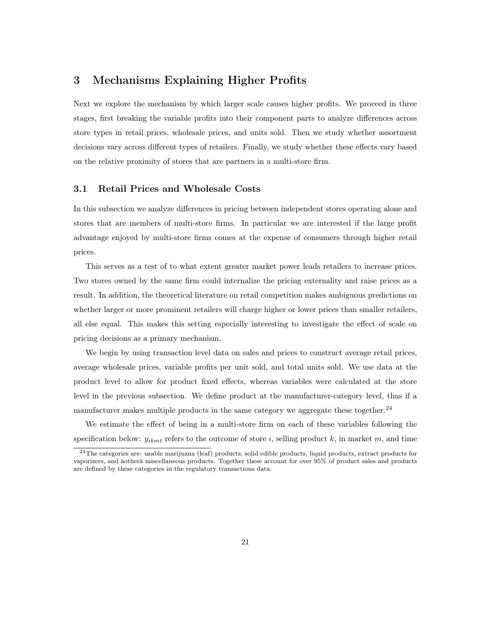# 3 Mechanisms Explaining Higher Profits

Next we explore the mechanism by which larger scale causes higher profits. We proceed in three stages, first breaking the variable profits into their component parts to analyze differences across store types in retail prices, wholesale prices, and units sold. Then we study whether assortment decisions vary across different types of retailers. Finally, we study whether these effects vary based on the relative proximity of stores that are partners in a multi-store firm.

### 3.1 Retail Prices and Wholesale Costs

In this subsection we analyze differences in pricing between independent stores operating alone and stores that are members of multi-store firms. In particular we are interested if the large profit advantage enjoyed by multi-store firms comes at the expense of consumers through higher retail prices.

This serves as a test of to what extent greater market power leads retailers to increase prices. Two stores owned by the same firm could internalize the pricing externality and raise prices as a result. In addition, the theoretical literature on retail competition makes ambiguous predictions on whether larger or more prominent retailers will charge higher or lower prices than smaller retailers, all else equal. This makes this setting especially interesting to investigate the effect of scale on pricing decisions as a primary mechanism.

We begin by using transaction level data on sales and prices to construct average retail prices, average wholesale prices, variable profits per unit sold, and total units sold. We use data at the product level to allow for product fixed effects, whereas variables were calculated at the store level in the previous subsection. We define product at the manufacturer-category level, thus if a manufacturer makes multiple products in the same category we aggregate these together.<sup>24</sup>

We estimate the effect of being in a multi-store firm on each of these variables following the specification below:  $y_{ikmt}$  refers to the outcome of store i, selling product k, in market m, and time

<sup>24</sup>The categories are: usable marijuana (leaf) products, solid edible products, liquid products, extract products for vaporizers, and âotherâ miscellaneous products. Together these account for over 95% of product sales and products are defined by these categories in the regulatory transactions data.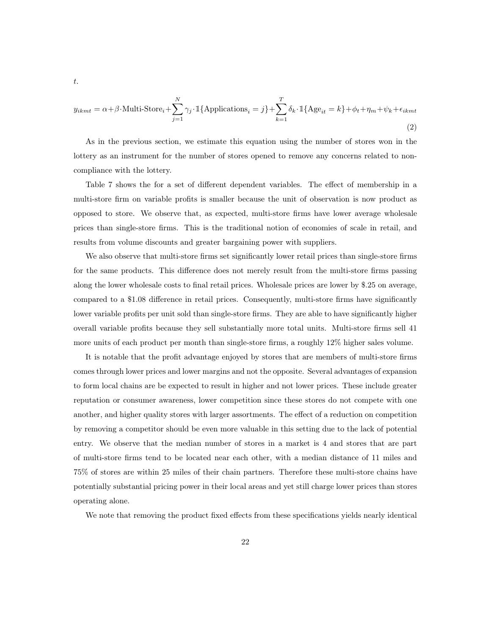$$
y_{ikmt} = \alpha + \beta \cdot \text{Multi-Store}_{i} + \sum_{j=1}^{N} \gamma_j \cdot \mathbb{1} \{ \text{Applications}_{i} = j \} + \sum_{k=1}^{T} \delta_k \cdot \mathbb{1} \{ \text{Age}_{it} = k \} + \phi_t + \eta_m + \psi_k + \epsilon_{ikmt}
$$
\n(2)

As in the previous section, we estimate this equation using the number of stores won in the lottery as an instrument for the number of stores opened to remove any concerns related to noncompliance with the lottery.

Table 7 shows the for a set of different dependent variables. The effect of membership in a multi-store firm on variable profits is smaller because the unit of observation is now product as opposed to store. We observe that, as expected, multi-store firms have lower average wholesale prices than single-store firms. This is the traditional notion of economies of scale in retail, and results from volume discounts and greater bargaining power with suppliers.

We also observe that multi-store firms set significantly lower retail prices than single-store firms for the same products. This difference does not merely result from the multi-store firms passing along the lower wholesale costs to final retail prices. Wholesale prices are lower by \$.25 on average, compared to a \$1.08 difference in retail prices. Consequently, multi-store firms have significantly lower variable profits per unit sold than single-store firms. They are able to have significantly higher overall variable profits because they sell substantially more total units. Multi-store firms sell 41 more units of each product per month than single-store firms, a roughly 12% higher sales volume.

It is notable that the profit advantage enjoyed by stores that are members of multi-store firms comes through lower prices and lower margins and not the opposite. Several advantages of expansion to form local chains are be expected to result in higher and not lower prices. These include greater reputation or consumer awareness, lower competition since these stores do not compete with one another, and higher quality stores with larger assortments. The effect of a reduction on competition by removing a competitor should be even more valuable in this setting due to the lack of potential entry. We observe that the median number of stores in a market is 4 and stores that are part of multi-store firms tend to be located near each other, with a median distance of 11 miles and 75% of stores are within 25 miles of their chain partners. Therefore these multi-store chains have potentially substantial pricing power in their local areas and yet still charge lower prices than stores operating alone.

We note that removing the product fixed effects from these specifications yields nearly identical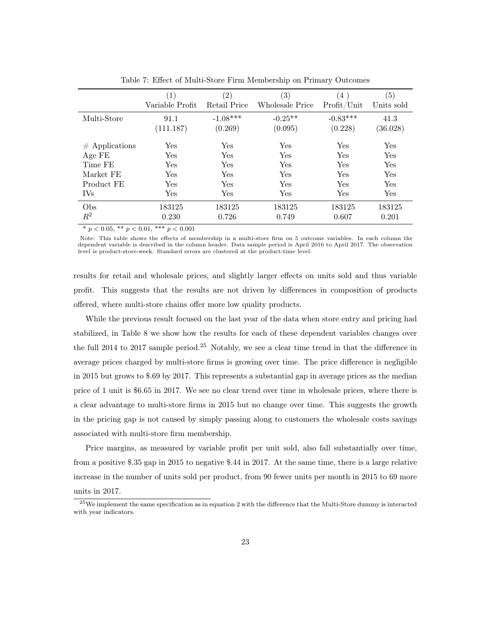|                  | $\left( 1\right)$ | $\left( 2\right)$ | $\left( 3\right)$ | (4)         | (5)        |
|------------------|-------------------|-------------------|-------------------|-------------|------------|
|                  | Variable Profit   | Retail Price      | Wholesale Price   | Profit/Unit | Units sold |
| Multi-Store      | 91.1              | $-1.08***$        | $-0.25**$         | $-0.83***$  | 41.3       |
|                  | (111.187)         | (0.269)           | (0.095)           | (0.228)     | (36.028)   |
| $#$ Applications | Yes               | Yes               | Yes               | Yes         | Yes        |
| Age FE           | Yes               | Yes               | Yes               | Yes         | Yes        |
| Time FE          | Yes               | Yes               | Yes               | Yes         | Yes        |
| Market FE        | Yes               | Yes               | Yes               | Yes         | Yes        |
| Product FE       | Yes               | Yes               | Yes               | Yes         | Yes        |
| IV <sub>s</sub>  | Yes               | Yes               | Yes               | Yes         | Yes        |
| Obs              | 183125            | 183125            | 183125            | 183125      | 183125     |
| $R^2$            | 0.230             | 0.726             | 0.749             | 0.607       | 0.201      |

Table 7: Effect of Multi-Store Firm Membership on Primary Outcomes

\*  $p < 0.05$ , \*\*  $p < 0.01$ , \*\*\*  $p < 0.001$ 

Note: This table shows the effects of membership in a multi-store firm on 5 outcome variables. In each column the<br>dependent variable is described in the column header. Data sample period is April 2016 to April 2017. The ob level is product-store-week. Standard errors are clustered at the product-time level.

results for retail and wholesale prices, and slightly larger effects on units sold and thus variable profit. This suggests that the results are not driven by differences in composition of products offered, where multi-store chains offer more low quality products.

While the previous result focused on the last year of the data when store entry and pricing had stabilized, in Table 8 we show how the results for each of these dependent variables changes over the full 2014 to 2017 sample period.<sup>25</sup> Notably, we see a clear time trend in that the difference in average prices charged by multi-store firms is growing over time. The price difference is negligible in 2015 but grows to \$.69 by 2017. This represents a substantial gap in average prices as the median price of 1 unit is \$6.65 in 2017. We see no clear trend over time in wholesale prices, where there is a clear advantage to multi-store firms in 2015 but no change over time. This suggests the growth in the pricing gap is not caused by simply passing along to customers the wholesale costs savings associated with multi-store firm membership.

Price margins, as measured by variable profit per unit sold, also fall substantially over time, from a positive \$.35 gap in 2015 to negative \$.44 in 2017. At the same time, there is a large relative increase in the number of units sold per product, from 90 fewer units per month in 2015 to 69 more units in 2017.

<sup>25</sup>We implement the same specification as in equation 2 with the difference that the Multi-Store dummy is interacted with year indicators.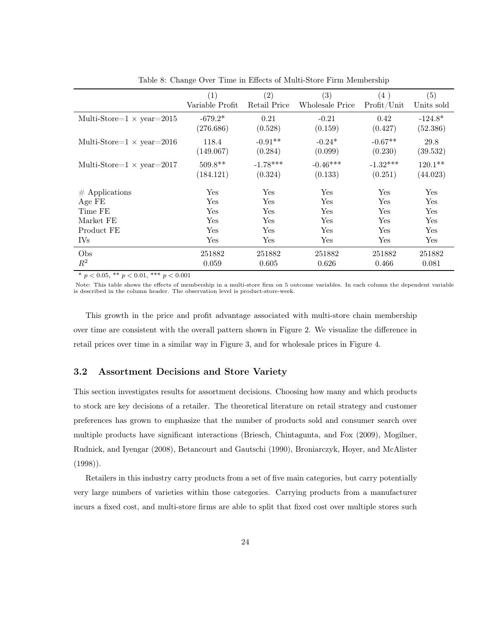|                                   | (1)<br>Variable Profit | (2)<br>Retail Price   | (3)<br>Wholesale Price | (4)<br>Profit/Unit    | (5)<br>Units sold     |
|-----------------------------------|------------------------|-----------------------|------------------------|-----------------------|-----------------------|
| Multi-Store= $1 \times$ year=2015 | $-679.2*$<br>(276.686) | 0.21<br>(0.528)       | $-0.21$<br>(0.159)     | 0.42<br>(0.427)       | $-124.8*$<br>(52.386) |
| Multi-Store= $1 \times$ year=2016 | 118.4<br>(149.067)     | $-0.91**$<br>(0.284)  | $-0.24*$<br>(0.099)    | $-0.67**$<br>(0.230)  | 29.8<br>(39.532)      |
| Multi-Store= $1 \times$ year=2017 | $509.8**$<br>(184.121) | $-1.78***$<br>(0.324) | $-0.46***$<br>(0.133)  | $-1.32***$<br>(0.251) | $120.1**$<br>(44.023) |
| $#$ Applications                  | Yes                    | Yes                   | Yes                    | Yes                   | Yes                   |
| Age FE                            | Yes                    | Yes                   | Yes                    | Yes                   | Yes                   |
| Time FE                           | Yes                    | Yes                   | $\operatorname{Yes}$   | Yes                   | Yes                   |
| Market FE                         | Yes                    | Yes                   | Yes                    | Yes                   | Yes                   |
| Product FE                        | Yes                    | Yes                   | $\operatorname{Yes}$   | Yes                   | Yes                   |
| IV <sub>s</sub>                   | Yes                    | Yes                   | Yes                    | Yes                   | Yes                   |
| Obs                               | 251882                 | 251882                | 251882                 | 251882                | 251882                |
| $R^2$                             | 0.059                  | 0.605                 | 0.626                  | 0.466                 | 0.081                 |

Table 8: Change Over Time in Effects of Multi-Store Firm Membership

\*  $p < 0.05$ , \*\*  $p < 0.01$ , \*\*\*  $p < 0.001$ 

Note: This table shows the effects of membership in a multi-store firm on 5 outcome variables. In each column the dependent variable is described in the column header. The observation level is product-store-week.

This growth in the price and profit advantage associated with multi-store chain membership over time are consistent with the overall pattern shown in Figure 2. We visualize the difference in retail prices over time in a similar way in Figure 3, and for wholesale prices in Figure 4.

#### 3.2 Assortment Decisions and Store Variety

This section investigates results for assortment decisions. Choosing how many and which products to stock are key decisions of a retailer. The theoretical literature on retail strategy and customer preferences has grown to emphasize that the number of products sold and consumer search over multiple products have significant interactions (Briesch, Chintagunta, and Fox (2009), Mogilner, Rudnick, and Iyengar (2008), Betancourt and Gautschi (1990), Broniarczyk, Hoyer, and McAlister (1998)).

Retailers in this industry carry products from a set of five main categories, but carry potentially very large numbers of varieties within those categories. Carrying products from a manufacturer incurs a fixed cost, and multi-store firms are able to split that fixed cost over multiple stores such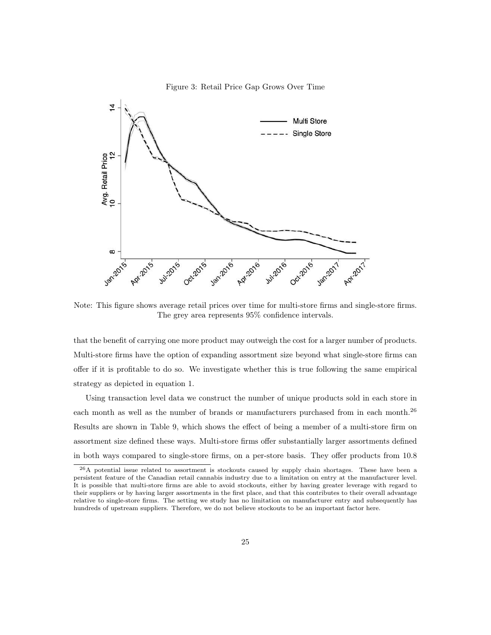

Figure 3: Retail Price Gap Grows Over Time

Note: This figure shows average retail prices over time for multi-store firms and single-store firms. The grey area represents 95% confidence intervals.

that the benefit of carrying one more product may outweigh the cost for a larger number of products. Multi-store firms have the option of expanding assortment size beyond what single-store firms can offer if it is profitable to do so. We investigate whether this is true following the same empirical strategy as depicted in equation 1.

Using transaction level data we construct the number of unique products sold in each store in each month as well as the number of brands or manufacturers purchased from in each month.<sup>26</sup> Results are shown in Table 9, which shows the effect of being a member of a multi-store firm on assortment size defined these ways. Multi-store firms offer substantially larger assortments defined in both ways compared to single-store firms, on a per-store basis. They offer products from 10.8

<sup>&</sup>lt;sup>26</sup>A potential issue related to assortment is stockouts caused by supply chain shortages. These have been a persistent feature of the Canadian retail cannabis industry due to a limitation on entry at the manufacturer level. It is possible that multi-store firms are able to avoid stockouts, either by having greater leverage with regard to their suppliers or by having larger assortments in the first place, and that this contributes to their overall advantage relative to single-store firms. The setting we study has no limitation on manufacturer entry and subsequently has hundreds of upstream suppliers. Therefore, we do not believe stockouts to be an important factor here.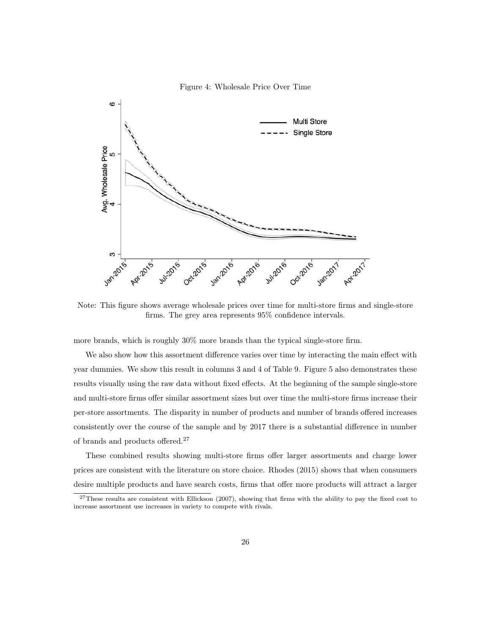

Figure 4: Wholesale Price Over Time

Note: This figure shows average wholesale prices over time for multi-store firms and single-store firms. The grey area represents 95% confidence intervals.

more brands, which is roughly 30% more brands than the typical single-store firm.

We also show how this assortment difference varies over time by interacting the main effect with year dummies. We show this result in columns 3 and 4 of Table 9. Figure 5 also demonstrates these results visually using the raw data without fixed effects. At the beginning of the sample single-store and multi-store firms offer similar assortment sizes but over time the multi-store firms increase their per-store assortments. The disparity in number of products and number of brands offered increases consistently over the course of the sample and by 2017 there is a substantial difference in number of brands and products offered.<sup>27</sup>

These combined results showing multi-store firms offer larger assortments and charge lower prices are consistent with the literature on store choice. Rhodes (2015) shows that when consumers desire multiple products and have search costs, firms that offer more products will attract a larger

<sup>&</sup>lt;sup>27</sup>These results are consistent with Ellickson (2007), showing that firms with the ability to pay the fixed cost to increase assortment use increases in variety to compete with rivals.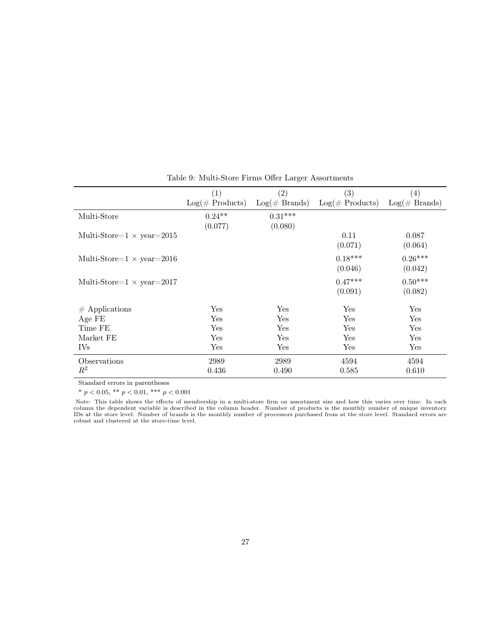|                                   | $\left( 1\right)$<br>$Log(\#$ Products) | $\left( 2\right)$<br>$Log(\#\ Brands)$ | $\left( 3\right)$<br>$Log(\#$ Products) | $\left( 4\right)$<br>$Log(\#\ Brands)$ |
|-----------------------------------|-----------------------------------------|----------------------------------------|-----------------------------------------|----------------------------------------|
|                                   |                                         |                                        |                                         |                                        |
| Multi-Store                       | $0.24**$                                | $0.31***$                              |                                         |                                        |
|                                   | (0.077)                                 | (0.080)                                |                                         |                                        |
| Multi-Store= $1 \times$ year=2015 |                                         |                                        | 0.11                                    | 0.087                                  |
|                                   |                                         |                                        | (0.071)                                 | (0.064)                                |
| Multi-Store= $1 \times$ year=2016 |                                         |                                        | $0.18***$                               | $0.26***$                              |
|                                   |                                         |                                        | (0.046)                                 | (0.042)                                |
|                                   |                                         |                                        |                                         |                                        |
| Multi-Store= $1 \times$ year=2017 |                                         |                                        | $0.47***$                               | $0.50***$                              |
|                                   |                                         |                                        | (0.091)                                 | (0.082)                                |
| $#$ Applications                  | Yes                                     | Yes                                    | Yes                                     | Yes                                    |
| Age FE                            | Yes                                     | Yes                                    | Yes                                     | Yes                                    |
| Time FE                           | Yes                                     | Yes                                    | Yes                                     | Yes                                    |
| Market FE                         | Yes                                     | Yes                                    | Yes                                     | Yes                                    |
| <b>IVs</b>                        | Yes                                     | Yes                                    | Yes                                     | Yes                                    |
| Observations                      | 2989                                    | 2989                                   | 4594                                    | 4594                                   |
| $R^2$                             | 0.436                                   | 0.490                                  | 0.585                                   | 0.610                                  |

### Table 9: Multi-Store Firms Offer Larger Assortments

Standard errors in parentheses

\*  $p < 0.05$ , \*\*  $p < 0.01$ , \*\*\*  $p < 0.001$ 

Note: This table shows the effects of membership in a multi-store firm on assortment size and how this varies over time. In each column the dependent variable is described in the column header. Number of products is the monthly number of unique inventory IDs at the store level. Number of brands is the monthly number of processors purchased from at the store level. Standard errors are robust and clustered at the store-time level.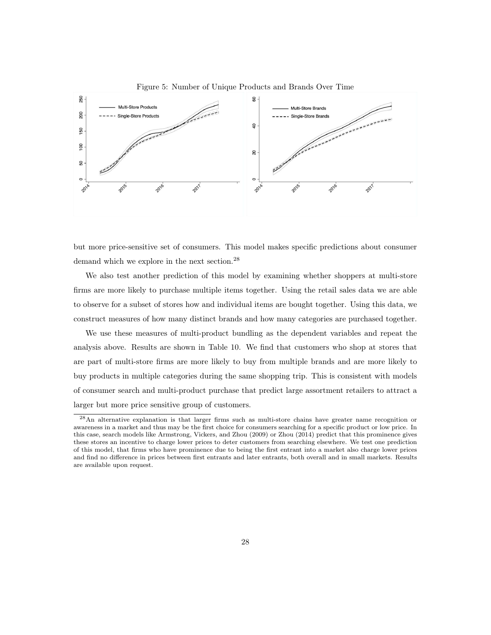

Figure 5: Number of Unique Products and Brands Over Time

but more price-sensitive set of consumers. This model makes specific predictions about consumer demand which we explore in the next section.<sup>28</sup>

We also test another prediction of this model by examining whether shoppers at multi-store firms are more likely to purchase multiple items together. Using the retail sales data we are able to observe for a subset of stores how and individual items are bought together. Using this data, we construct measures of how many distinct brands and how many categories are purchased together.

We use these measures of multi-product bundling as the dependent variables and repeat the analysis above. Results are shown in Table 10. We find that customers who shop at stores that are part of multi-store firms are more likely to buy from multiple brands and are more likely to buy products in multiple categories during the same shopping trip. This is consistent with models of consumer search and multi-product purchase that predict large assortment retailers to attract a larger but more price sensitive group of customers.

<sup>28</sup>An alternative explanation is that larger firms such as multi-store chains have greater name recognition or awareness in a market and thus may be the first choice for consumers searching for a specific product or low price. In this case, search models like Armstrong, Vickers, and Zhou (2009) or Zhou (2014) predict that this prominence gives these stores an incentive to charge lower prices to deter customers from searching elsewhere. We test one prediction of this model, that firms who have prominence due to being the first entrant into a market also charge lower prices and find no difference in prices between first entrants and later entrants, both overall and in small markets. Results are available upon request.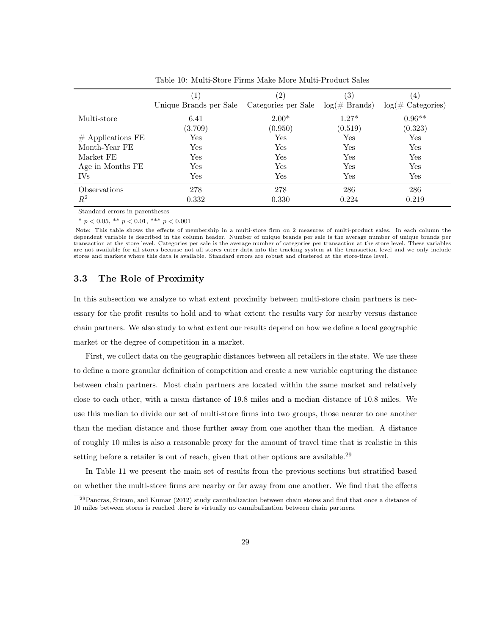|                         | $\left 1\right\rangle$<br>Unique Brands per Sale | $^{\prime}2)$<br>Categories per Sale | $\left( 3\right)$<br>$log(\text{\# Brands})$ | $\left(4\right)$<br>$log(\text{\# Categories})$ |
|-------------------------|--------------------------------------------------|--------------------------------------|----------------------------------------------|-------------------------------------------------|
| Multi-store             | 6.41<br>(3.709)                                  | $2.00*$<br>(0.950)                   | $1.27*$<br>(0.519)                           | $0.96**$<br>(0.323)                             |
| $#$ Applications FE     | $\operatorname{Yes}$                             | Yes                                  | Yes                                          | Yes                                             |
| Month-Year FE           | Yes                                              | Yes                                  | Yes                                          | Yes                                             |
| Market FE               | Yes                                              | Yes                                  | Yes                                          | Yes                                             |
| Age in Months FE        | Yes                                              | Yes                                  | Yes                                          | Yes                                             |
| <b>IVs</b>              | $\operatorname{Yes}$                             | Yes                                  | Yes                                          | Yes                                             |
| Observations<br>$\,R^2$ | 278<br>0.332                                     | 278<br>0.330                         | 286<br>0.224                                 | 286<br>0.219                                    |

Table 10: Multi-Store Firms Make More Multi-Product Sales

\*  $p < 0.05$ , \*\*  $p < 0.01$ , \*\*\*  $p < 0.001$ 

Note: This table shows the effects of membership in a multi-store firm on 2 measures of multi-product sales. In each column the dependent variable is described in the column header. Number of unique brands per sale is the average number of unique brands per transaction at the store level. Categories per sale is the average number of categories per transaction at the store level. These variables are not available for all stores because not all stores enter data into the tracking system at the transaction level and we only include stores and markets where this data is available. Standard errors are robust and clustered at the store-time level.

### 3.3 The Role of Proximity

In this subsection we analyze to what extent proximity between multi-store chain partners is necessary for the profit results to hold and to what extent the results vary for nearby versus distance chain partners. We also study to what extent our results depend on how we define a local geographic market or the degree of competition in a market.

First, we collect data on the geographic distances between all retailers in the state. We use these to define a more granular definition of competition and create a new variable capturing the distance between chain partners. Most chain partners are located within the same market and relatively close to each other, with a mean distance of 19.8 miles and a median distance of 10.8 miles. We use this median to divide our set of multi-store firms into two groups, those nearer to one another than the median distance and those further away from one another than the median. A distance of roughly 10 miles is also a reasonable proxy for the amount of travel time that is realistic in this setting before a retailer is out of reach, given that other options are available.<sup>29</sup>

In Table 11 we present the main set of results from the previous sections but stratified based on whether the multi-store firms are nearby or far away from one another. We find that the effects

<sup>29</sup>Pancras, Sriram, and Kumar (2012) study cannibalization between chain stores and find that once a distance of 10 miles between stores is reached there is virtually no cannibalization between chain partners.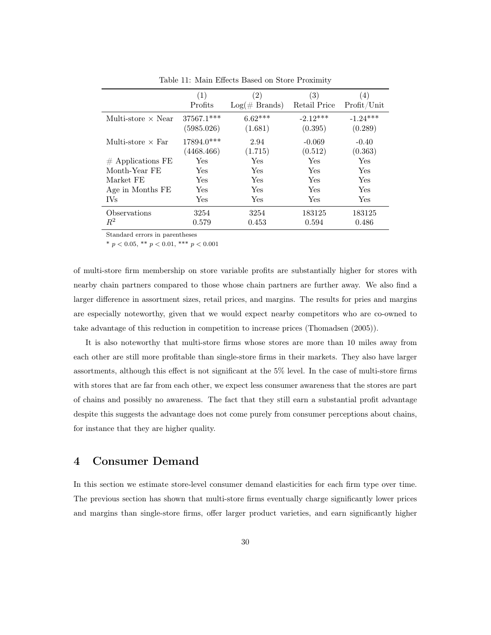|                           | (1)          | $\left( 2\right)$ | (3)          | (4)         |
|---------------------------|--------------|-------------------|--------------|-------------|
|                           | Profits      | $Log(\#\ Brands)$ | Retail Price | Profit/Unit |
| Multi-store $\times$ Near | 37567.1***   | $6.62***$         | $-2.12***$   | $-1.24***$  |
|                           | (5985.026)   | (1.681)           | (0.395)      | (0.289)     |
| Multi-store $\times$ Far  | $17894.0***$ | 2.94              | $-0.069$     | $-0.40$     |
|                           | (4468.466)   | (1.715)           | (0.512)      | (0.363)     |
| $#$ Applications FE       | Yes          | Yes               | Yes          | Yes         |
| Month-Year FE             | Yes          | Yes               | Yes          | Yes         |
| Market FE                 | Yes          | Yes               | Yes          | Yes         |
| Age in Months FE          | Yes          | Yes               | Yes          | Yes         |
| <b>IVs</b>                | Yes          | Yes               | Yes          | Yes         |
| Observations              | 3254         | 3254              | 183125       | 183125      |
| $R^2$                     | 0.579        | 0.453             | 0.594        | 0.486       |

Table 11: Main Effects Based on Store Proximity

\*  $p < 0.05$ , \*\*  $p < 0.01$ , \*\*\*  $p < 0.001$ 

of multi-store firm membership on store variable profits are substantially higher for stores with nearby chain partners compared to those whose chain partners are further away. We also find a larger difference in assortment sizes, retail prices, and margins. The results for pries and margins are especially noteworthy, given that we would expect nearby competitors who are co-owned to take advantage of this reduction in competition to increase prices (Thomadsen (2005)).

It is also noteworthy that multi-store firms whose stores are more than 10 miles away from each other are still more profitable than single-store firms in their markets. They also have larger assortments, although this effect is not significant at the 5% level. In the case of multi-store firms with stores that are far from each other, we expect less consumer awareness that the stores are part of chains and possibly no awareness. The fact that they still earn a substantial profit advantage despite this suggests the advantage does not come purely from consumer perceptions about chains, for instance that they are higher quality.

# 4 Consumer Demand

In this section we estimate store-level consumer demand elasticities for each firm type over time. The previous section has shown that multi-store firms eventually charge significantly lower prices and margins than single-store firms, offer larger product varieties, and earn significantly higher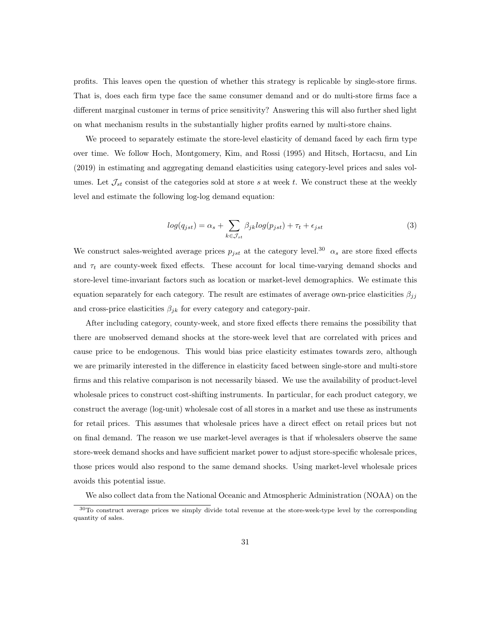profits. This leaves open the question of whether this strategy is replicable by single-store firms. That is, does each firm type face the same consumer demand and or do multi-store firms face a different marginal customer in terms of price sensitivity? Answering this will also further shed light on what mechanism results in the substantially higher profits earned by multi-store chains.

We proceed to separately estimate the store-level elasticity of demand faced by each firm type over time. We follow Hoch, Montgomery, Kim, and Rossi (1995) and Hitsch, Hortacsu, and Lin (2019) in estimating and aggregating demand elasticities using category-level prices and sales volumes. Let  $\mathcal{J}_{st}$  consist of the categories sold at store s at week t. We construct these at the weekly level and estimate the following log-log demand equation:

$$
log(q_{jst}) = \alpha_s + \sum_{k \in \mathcal{J}_{st}} \beta_{jk} log(p_{jst}) + \tau_t + \epsilon_{jst}
$$
\n(3)

We construct sales-weighted average prices  $p_{jst}$  at the category level.<sup>30</sup>  $\alpha_s$  are store fixed effects and  $\tau_t$  are county-week fixed effects. These account for local time-varying demand shocks and store-level time-invariant factors such as location or market-level demographics. We estimate this equation separately for each category. The result are estimates of average own-price elasticities  $\beta_{jj}$ and cross-price elasticities  $\beta_{jk}$  for every category and category-pair.

After including category, county-week, and store fixed effects there remains the possibility that there are unobserved demand shocks at the store-week level that are correlated with prices and cause price to be endogenous. This would bias price elasticity estimates towards zero, although we are primarily interested in the difference in elasticity faced between single-store and multi-store firms and this relative comparison is not necessarily biased. We use the availability of product-level wholesale prices to construct cost-shifting instruments. In particular, for each product category, we construct the average (log-unit) wholesale cost of all stores in a market and use these as instruments for retail prices. This assumes that wholesale prices have a direct effect on retail prices but not on final demand. The reason we use market-level averages is that if wholesalers observe the same store-week demand shocks and have sufficient market power to adjust store-specific wholesale prices, those prices would also respond to the same demand shocks. Using market-level wholesale prices avoids this potential issue.

We also collect data from the National Oceanic and Atmospheric Administration (NOAA) on the

<sup>30</sup>To construct average prices we simply divide total revenue at the store-week-type level by the corresponding quantity of sales.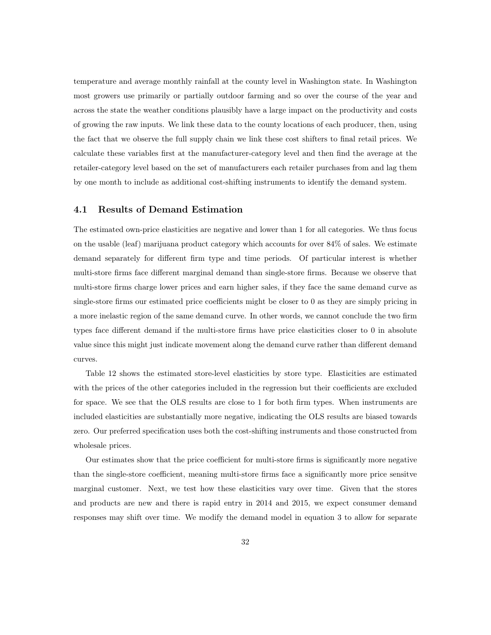temperature and average monthly rainfall at the county level in Washington state. In Washington most growers use primarily or partially outdoor farming and so over the course of the year and across the state the weather conditions plausibly have a large impact on the productivity and costs of growing the raw inputs. We link these data to the county locations of each producer, then, using the fact that we observe the full supply chain we link these cost shifters to final retail prices. We calculate these variables first at the manufacturer-category level and then find the average at the retailer-category level based on the set of manufacturers each retailer purchases from and lag them by one month to include as additional cost-shifting instruments to identify the demand system.

### 4.1 Results of Demand Estimation

The estimated own-price elasticities are negative and lower than 1 for all categories. We thus focus on the usable (leaf) marijuana product category which accounts for over 84% of sales. We estimate demand separately for different firm type and time periods. Of particular interest is whether multi-store firms face different marginal demand than single-store firms. Because we observe that multi-store firms charge lower prices and earn higher sales, if they face the same demand curve as single-store firms our estimated price coefficients might be closer to 0 as they are simply pricing in a more inelastic region of the same demand curve. In other words, we cannot conclude the two firm types face different demand if the multi-store firms have price elasticities closer to 0 in absolute value since this might just indicate movement along the demand curve rather than different demand curves.

Table 12 shows the estimated store-level elasticities by store type. Elasticities are estimated with the prices of the other categories included in the regression but their coefficients are excluded for space. We see that the OLS results are close to 1 for both firm types. When instruments are included elasticities are substantially more negative, indicating the OLS results are biased towards zero. Our preferred specification uses both the cost-shifting instruments and those constructed from wholesale prices.

Our estimates show that the price coefficient for multi-store firms is significantly more negative than the single-store coefficient, meaning multi-store firms face a significantly more price sensitve marginal customer. Next, we test how these elasticities vary over time. Given that the stores and products are new and there is rapid entry in 2014 and 2015, we expect consumer demand responses may shift over time. We modify the demand model in equation 3 to allow for separate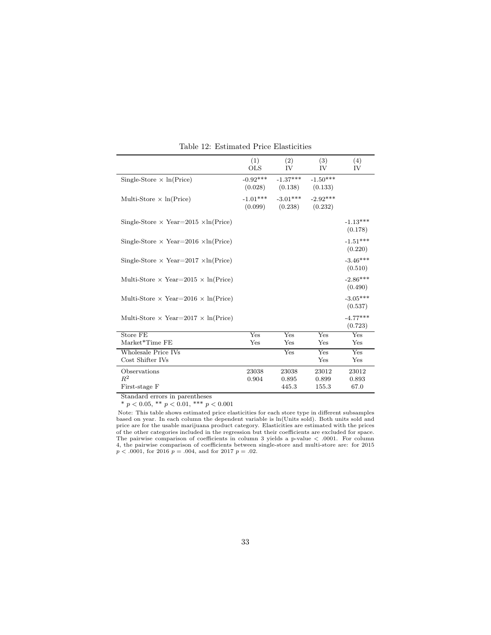|                                                    | (1)<br><b>OLS</b>     | (2)<br>IV             | (3)<br>IV             | (4)<br>IV             |
|----------------------------------------------------|-----------------------|-----------------------|-----------------------|-----------------------|
| Single-Store $\times$ ln(Price)                    | $-0.92***$<br>(0.028) | $-1.37***$<br>(0.138) | $-1.50***$<br>(0.133) |                       |
| Multi-Store $\times$ ln(Price)                     | $-1.01***$<br>(0.099) | $-3.01***$<br>(0.238) | $-2.92***$<br>(0.232) |                       |
| Single-Store $\times$ Year=2015 $\times$ ln(Price) |                       |                       |                       | $-1.13***$<br>(0.178) |
| Single-Store $\times$ Year=2016 $\times$ ln(Price) |                       |                       |                       | $-1.51***$<br>(0.220) |
| Single-Store $\times$ Year=2017 $\times$ ln(Price) |                       |                       |                       | $-3.46***$<br>(0.510) |
| Multi-Store $\times$ Year=2015 $\times$ ln(Price)  |                       |                       |                       | $-2.86***$<br>(0.490) |
| Multi-Store $\times$ Year=2016 $\times$ ln(Price)  |                       |                       |                       | $-3.05***$<br>(0.537) |
| Multi-Store $\times$ Year=2017 $\times$ ln(Price)  |                       |                       |                       | $-4.77***$<br>(0.723) |
| Store FE                                           | Yes                   | Yes                   | $Y_{ES}$              | $Y_{ES}$              |
| Market*Time FE                                     | Yes                   | $_{\rm Yes}$          | Yes                   | Yes                   |
| Wholesale Price IVs<br>Cost Shifter IVs            |                       | Yes                   | Yes<br>Yes            | Yes<br>Yes            |
| Observations                                       | 23038                 | 23038                 | 23012                 | 23012                 |
| $R^2$                                              | 0.904                 | 0.895                 | 0.899                 | 0.893                 |
| First-stage F                                      |                       | 445.3                 | 155.3                 | 67.0                  |

Table 12: Estimated Price Elasticities

Standard errors in parentheses<br>
\*  $p < 0.05$ , \*\*  $p < 0.01$ , \*\*\*  $p < 0.001$ 

Note: This table shows estimated price elasticities for each store type in different subsamples based on year. In each column the dependent variable is ln(Units sold). Both units sold and price are for the usable marijuana product category. Elasticities are estimated with the prices<br>of the other categories included in the regression but their coefficients are excluded for space.<br>The pairwise comparison of c 4, the pairwise comparison of coefficients between single-store and multi-store are: for 2015  $p < .0001$ , for 2016  $p = .004$ , and for 2017  $p = .02$ .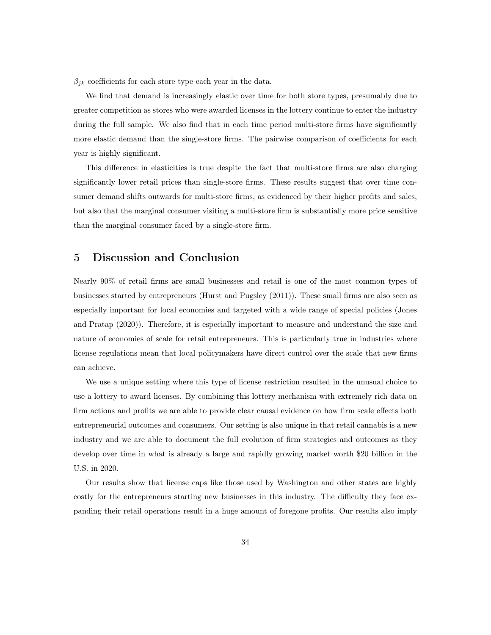$\beta_{ik}$  coefficients for each store type each year in the data.

We find that demand is increasingly elastic over time for both store types, presumably due to greater competition as stores who were awarded licenses in the lottery continue to enter the industry during the full sample. We also find that in each time period multi-store firms have significantly more elastic demand than the single-store firms. The pairwise comparison of coefficients for each year is highly significant.

This difference in elasticities is true despite the fact that multi-store firms are also charging significantly lower retail prices than single-store firms. These results suggest that over time consumer demand shifts outwards for multi-store firms, as evidenced by their higher profits and sales, but also that the marginal consumer visiting a multi-store firm is substantially more price sensitive than the marginal consumer faced by a single-store firm.

## 5 Discussion and Conclusion

Nearly 90% of retail firms are small businesses and retail is one of the most common types of businesses started by entrepreneurs (Hurst and Pugsley (2011)). These small firms are also seen as especially important for local economies and targeted with a wide range of special policies (Jones and Pratap (2020)). Therefore, it is especially important to measure and understand the size and nature of economies of scale for retail entrepreneurs. This is particularly true in industries where license regulations mean that local policymakers have direct control over the scale that new firms can achieve.

We use a unique setting where this type of license restriction resulted in the unusual choice to use a lottery to award licenses. By combining this lottery mechanism with extremely rich data on firm actions and profits we are able to provide clear causal evidence on how firm scale effects both entrepreneurial outcomes and consumers. Our setting is also unique in that retail cannabis is a new industry and we are able to document the full evolution of firm strategies and outcomes as they develop over time in what is already a large and rapidly growing market worth \$20 billion in the U.S. in 2020.

Our results show that license caps like those used by Washington and other states are highly costly for the entrepreneurs starting new businesses in this industry. The difficulty they face expanding their retail operations result in a huge amount of foregone profits. Our results also imply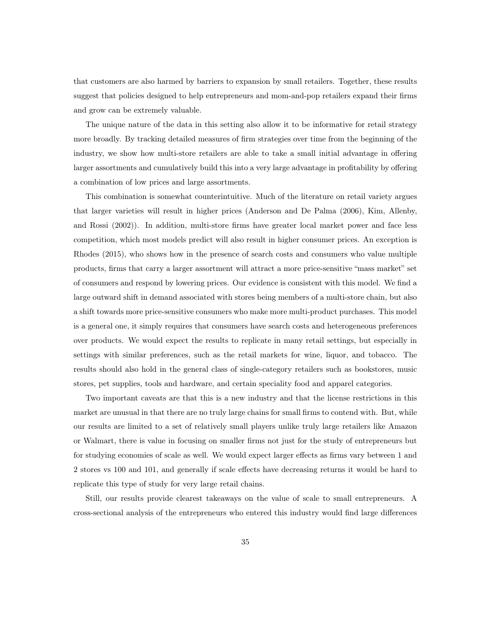that customers are also harmed by barriers to expansion by small retailers. Together, these results suggest that policies designed to help entrepreneurs and mom-and-pop retailers expand their firms and grow can be extremely valuable.

The unique nature of the data in this setting also allow it to be informative for retail strategy more broadly. By tracking detailed measures of firm strategies over time from the beginning of the industry, we show how multi-store retailers are able to take a small initial advantage in offering larger assortments and cumulatively build this into a very large advantage in profitability by offering a combination of low prices and large assortments.

This combination is somewhat counterintuitive. Much of the literature on retail variety argues that larger varieties will result in higher prices (Anderson and De Palma (2006), Kim, Allenby, and Rossi (2002)). In addition, multi-store firms have greater local market power and face less competition, which most models predict will also result in higher consumer prices. An exception is Rhodes (2015), who shows how in the presence of search costs and consumers who value multiple products, firms that carry a larger assortment will attract a more price-sensitive "mass market" set of consumers and respond by lowering prices. Our evidence is consistent with this model. We find a large outward shift in demand associated with stores being members of a multi-store chain, but also a shift towards more price-sensitive consumers who make more multi-product purchases. This model is a general one, it simply requires that consumers have search costs and heterogeneous preferences over products. We would expect the results to replicate in many retail settings, but especially in settings with similar preferences, such as the retail markets for wine, liquor, and tobacco. The results should also hold in the general class of single-category retailers such as bookstores, music stores, pet supplies, tools and hardware, and certain speciality food and apparel categories.

Two important caveats are that this is a new industry and that the license restrictions in this market are unusual in that there are no truly large chains for small firms to contend with. But, while our results are limited to a set of relatively small players unlike truly large retailers like Amazon or Walmart, there is value in focusing on smaller firms not just for the study of entrepreneurs but for studying economies of scale as well. We would expect larger effects as firms vary between 1 and 2 stores vs 100 and 101, and generally if scale effects have decreasing returns it would be hard to replicate this type of study for very large retail chains.

Still, our results provide clearest takeaways on the value of scale to small entrepreneurs. A cross-sectional analysis of the entrepreneurs who entered this industry would find large differences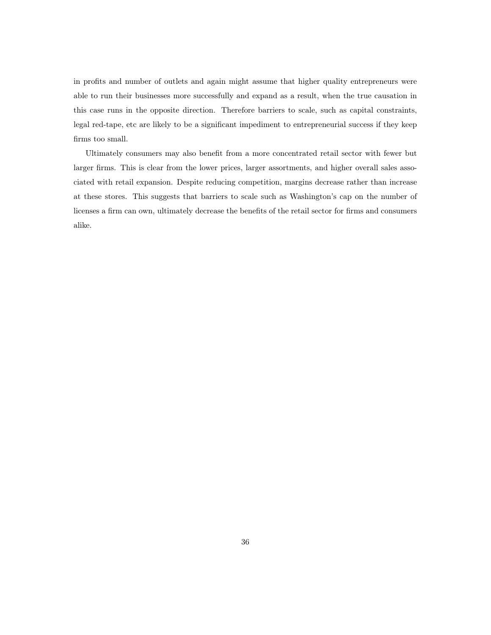in profits and number of outlets and again might assume that higher quality entrepreneurs were able to run their businesses more successfully and expand as a result, when the true causation in this case runs in the opposite direction. Therefore barriers to scale, such as capital constraints, legal red-tape, etc are likely to be a significant impediment to entrepreneurial success if they keep firms too small.

Ultimately consumers may also benefit from a more concentrated retail sector with fewer but larger firms. This is clear from the lower prices, larger assortments, and higher overall sales associated with retail expansion. Despite reducing competition, margins decrease rather than increase at these stores. This suggests that barriers to scale such as Washington's cap on the number of licenses a firm can own, ultimately decrease the benefits of the retail sector for firms and consumers alike.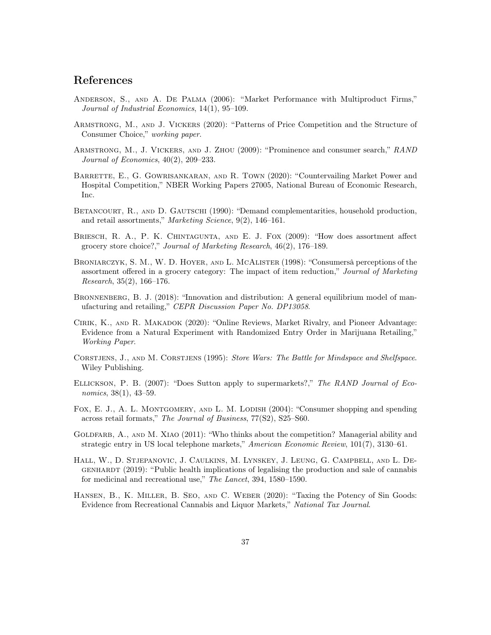# References

- Anderson, S., and A. De Palma (2006): "Market Performance with Multiproduct Firms," Journal of Industrial Economics, 14(1), 95–109.
- Armstrong, M., and J. Vickers (2020): "Patterns of Price Competition and the Structure of Consumer Choice," working paper.
- Armstrong, M., J. Vickers, and J. Zhou (2009): "Prominence and consumer search," RAND Journal of Economics, 40(2), 209–233.
- BARRETTE, E., G. GOWRISANKARAN, AND R. TOWN (2020): "Countervailing Market Power and Hospital Competition," NBER Working Papers 27005, National Bureau of Economic Research, Inc.
- BETANCOURT, R., AND D. GAUTSCHI (1990): "Demand complementarities, household production, and retail assortments," Marketing Science, 9(2), 146–161.
- Briesch, R. A., P. K. Chintagunta, and E. J. Fox (2009): "How does assortment affect grocery store choice?," Journal of Marketing Research, 46(2), 176–189.
- Broniarczyk, S. M., W. D. Hoyer, and L. McAlister (1998): "Consumersâ perceptions of the assortment offered in a grocery category: The impact of item reduction," Journal of Marketing Research, 35(2), 166–176.
- BRONNENBERG, B. J. (2018): "Innovation and distribution: A general equilibrium model of manufacturing and retailing," CEPR Discussion Paper No. DP13058.
- Cirik, K., and R. Makadok (2020): "Online Reviews, Market Rivalry, and Pioneer Advantage: Evidence from a Natural Experiment with Randomized Entry Order in Marijuana Retailing," Working Paper.
- CORSTJENS, J., AND M. CORSTJENS (1995): Store Wars: The Battle for Mindspace and Shelfspace. Wiley Publishing.
- Ellickson, P. B. (2007): "Does Sutton apply to supermarkets?," The RAND Journal of Economics, 38(1), 43–59.
- FOX, E. J., A. L. MONTGOMERY, AND L. M. LODISH (2004): "Consumer shopping and spending across retail formats," The Journal of Business, 77(S2), S25–S60.
- GOLDFARB, A., AND M. XIAO (2011): "Who thinks about the competition? Managerial ability and strategic entry in US local telephone markets," American Economic Review, 101(7), 3130–61.
- Hall, W., D. Stjepanovic, J. Caulkins, M. Lynskey, J. Leung, G. Campbell, and L. Degenhardt (2019): "Public health implications of legalising the production and sale of cannabis for medicinal and recreational use," The Lancet, 394, 1580–1590.
- Hansen, B., K. Miller, B. Seo, and C. Weber (2020): "Taxing the Potency of Sin Goods: Evidence from Recreational Cannabis and Liquor Markets," National Tax Journal.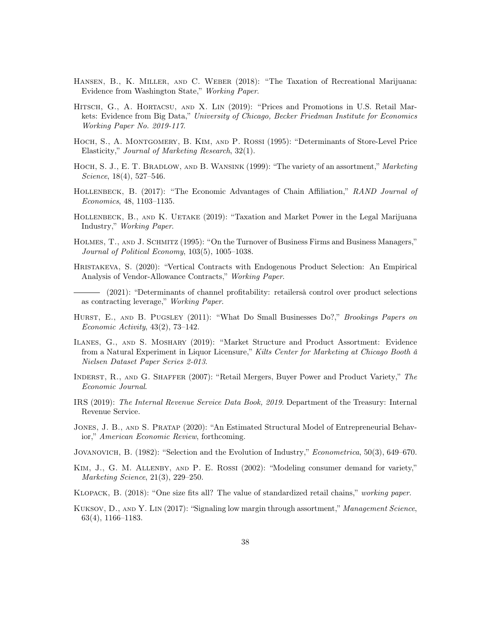- Hansen, B., K. Miller, and C. Weber (2018): "The Taxation of Recreational Marijuana: Evidence from Washington State," Working Paper.
- HITSCH, G., A. HORTACSU, AND X. LIN (2019): "Prices and Promotions in U.S. Retail Markets: Evidence from Big Data," University of Chicago, Becker Friedman Institute for Economics Working Paper No. 2019-117.
- Hoch, S., A. Montgomery, B. Kim, and P. Rossi (1995): "Determinants of Store-Level Price Elasticity," Journal of Marketing Research, 32(1).
- HOCH, S. J., E. T. BRADLOW, AND B. WANSINK (1999): "The variety of an assortment," Marketing Science, 18(4), 527–546.
- HOLLENBECK, B. (2017): "The Economic Advantages of Chain Affiliation," RAND Journal of Economics, 48, 1103–1135.
- HOLLENBECK, B., AND K. UETAKE (2019): "Taxation and Market Power in the Legal Marijuana Industry," Working Paper.
- Holmes, T., and J. Schmitz (1995): "On the Turnover of Business Firms and Business Managers," Journal of Political Economy, 103(5), 1005–1038.
- Hristakeva, S. (2020): "Vertical Contracts with Endogenous Product Selection: An Empirical Analysis of Vendor-Allowance Contracts," Working Paper.
- (2021): "Determinants of channel profitability: retailersâ control over product selections as contracting leverage," Working Paper.
- HURST, E., AND B. PUGSLEY (2011): "What Do Small Businesses Do?," Brookings Papers on Economic Activity, 43(2), 73–142.
- Ilanes, G., and S. Moshary (2019): "Market Structure and Product Assortment: Evidence from a Natural Experiment in Liquor Licensure," Kilts Center for Marketing at Chicago Booth â Nielsen Dataset Paper Series 2-013.
- INDERST, R., AND G. SHAFFER (2007): "Retail Mergers, Buyer Power and Product Variety," The Economic Journal.
- IRS (2019): The Internal Revenue Service Data Book, 2019. Department of the Treasury: Internal Revenue Service.
- Jones, J. B., and S. Pratap (2020): "An Estimated Structural Model of Entrepreneurial Behavior," American Economic Review, forthcoming.
- Jovanovich, B. (1982): "Selection and the Evolution of Industry," Econometrica, 50(3), 649–670.
- Kim, J., G. M. Allenby, and P. E. Rossi (2002): "Modeling consumer demand for variety," Marketing Science, 21(3), 229–250.
- Klopack, B. (2018): "One size fits all? The value of standardized retail chains," working paper.
- KUKSOV, D., AND Y. LIN (2017): "Signaling low margin through assortment," Management Science, 63(4), 1166–1183.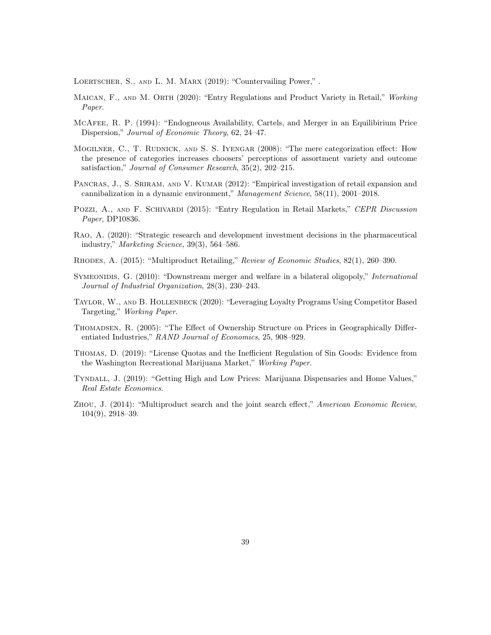LOERTSCHER, S., AND L. M. MARX (2019): "Countervailing Power,".

- MAICAN, F., AND M. ORTH (2020): "Entry Regulations and Product Variety in Retail," Working Paper.
- McAfee, R. P. (1994): "Endogneous Availability, Cartels, and Merger in an Equilibirium Price Dispersion," Journal of Economic Theory, 62, 24–47.
- Mogilner, C., T. Rudnick, and S. S. Iyengar (2008): "The mere categorization effect: How the presence of categories increases choosers' perceptions of assortment variety and outcome satisfaction," Journal of Consumer Research, 35(2), 202–215.
- PANCRAS, J., S. SRIRAM, AND V. KUMAR (2012): "Empirical investigation of retail expansion and cannibalization in a dynamic environment," Management Science, 58(11), 2001–2018.
- POZZI, A., AND F. SCHIVARDI (2015): "Entry Regulation in Retail Markets," CEPR Discussion Paper, DP10836.
- Rao, A. (2020): "Strategic research and development investment decisions in the pharmaceutical industry," Marketing Science, 39(3), 564–586.
- Rhodes, A. (2015): "Multiproduct Retailing," Review of Economic Studies, 82(1), 260–390.
- SYMEONIDIS, G. (2010): "Downstream merger and welfare in a bilateral oligopoly," *International* Journal of Industrial Organization, 28(3), 230–243.
- Taylor, W., and B. Hollenbeck (2020): "Leveraging Loyalty Programs Using Competitor Based Targeting," Working Paper.
- Thomadsen, R. (2005): "The Effect of Ownership Structure on Prices in Geographically Differentiated Industries," RAND Journal of Economics, 25, 908–929.
- Thomas, D. (2019): "License Quotas and the Inefficient Regulation of Sin Goods: Evidence from the Washington Recreational Marijuana Market," Working Paper.
- Tyndall, J. (2019): "Getting High and Low Prices: Marijuana Dispensaries and Home Values," Real Estate Economics.
- Zhou, J. (2014): "Multiproduct search and the joint search effect," American Economic Review, 104(9), 2918–39.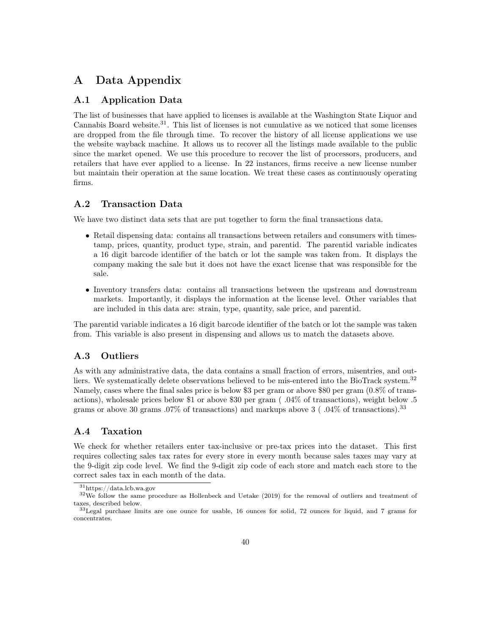# A Data Appendix

### A.1 Application Data

The list of businesses that have applied to licenses is available at the Washington State Liquor and Cannabis Board website.<sup>31</sup>. This list of licenses is not cumulative as we noticed that some licenses are dropped from the file through time. To recover the history of all license applications we use the website wayback machine. It allows us to recover all the listings made available to the public since the market opened. We use this procedure to recover the list of processors, producers, and retailers that have ever applied to a license. In 22 instances, firms receive a new license number but maintain their operation at the same location. We treat these cases as continuously operating firms.

### A.2 Transaction Data

We have two distinct data sets that are put together to form the final transactions data.

- Retail dispensing data: contains all transactions between retailers and consumers with timestamp, prices, quantity, product type, strain, and parentid. The parentid variable indicates a 16 digit barcode identifier of the batch or lot the sample was taken from. It displays the company making the sale but it does not have the exact license that was responsible for the sale.
- Inventory transfers data: contains all transactions between the upstream and downstream markets. Importantly, it displays the information at the license level. Other variables that are included in this data are: strain, type, quantity, sale price, and parentid.

The parentid variable indicates a 16 digit barcode identifier of the batch or lot the sample was taken from. This variable is also present in dispensing and allows us to match the datasets above.

### A.3 Outliers

As with any administrative data, the data contains a small fraction of errors, misentries, and outliers. We systematically delete observations believed to be mis-entered into the BioTrack system.<sup>32</sup> Namely, cases where the final sales price is below \$3 per gram or above \$80 per gram (0.8% of transactions), wholesale prices below \$1 or above \$30 per gram ( .04% of transactions), weight below .5 grams or above 30 grams  $.07\%$  of transactions) and markups above 3 ( $.04\%$  of transactions).<sup>33</sup>

### A.4 Taxation

We check for whether retailers enter tax-inclusive or pre-tax prices into the dataset. This first requires collecting sales tax rates for every store in every month because sales taxes may vary at the 9-digit zip code level. We find the 9-digit zip code of each store and match each store to the correct sales tax in each month of the data.

<sup>31</sup>https://data.lcb.wa.gov

<sup>&</sup>lt;sup>32</sup>We follow the same procedure as Hollenbeck and Uetake (2019) for the removal of outliers and treatment of taxes, described below.

<sup>33</sup>Legal purchase limits are one ounce for usable, 16 ounces for solid, 72 ounces for liquid, and 7 grams for concentrates.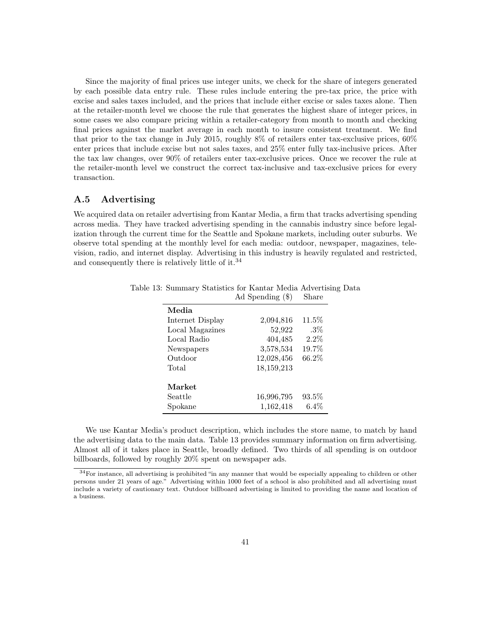Since the majority of final prices use integer units, we check for the share of integers generated by each possible data entry rule. These rules include entering the pre-tax price, the price with excise and sales taxes included, and the prices that include either excise or sales taxes alone. Then at the retailer-month level we choose the rule that generates the highest share of integer prices, in some cases we also compare pricing within a retailer-category from month to month and checking final prices against the market average in each month to insure consistent treatment. We find that prior to the tax change in July 2015, roughly 8% of retailers enter tax-exclusive prices, 60% enter prices that include excise but not sales taxes, and 25% enter fully tax-inclusive prices. After the tax law changes, over 90% of retailers enter tax-exclusive prices. Once we recover the rule at the retailer-month level we construct the correct tax-inclusive and tax-exclusive prices for every transaction.

### A.5 Advertising

We acquired data on retailer advertising from Kantar Media, a firm that tracks advertising spending across media. They have tracked advertising spending in the cannabis industry since before legalization through the current time for the Seattle and Spokane markets, including outer suburbs. We observe total spending at the monthly level for each media: outdoor, newspaper, magazines, television, radio, and internet display. Advertising in this industry is heavily regulated and restricted, and consequently there is relatively little of it.<sup>34</sup>

| Media            |            |          |
|------------------|------------|----------|
| Internet Display | 2,094,816  | $11.5\%$ |
| Local Magazines  | 52,922     | $.3\%$   |
| Local Radio      | 404,485    | 2.2%     |
| Newspapers       | 3,578,534  | 19.7%    |
| Outdoor          | 12,028,456 | 66.2%    |
| Total            | 18,159,213 |          |
|                  |            |          |
| Market           |            |          |
| Seattle          | 16,996,795 | $93.5\%$ |
| Spokane          | 1,162,418  | $6.4\%$  |

Table 13: Summary Statistics for Kantar Media Advertising Data Ad Spending (\$) Share

We use Kantar Media's product description, which includes the store name, to match by hand the advertising data to the main data. Table 13 provides summary information on firm advertising. Almost all of it takes place in Seattle, broadly defined. Two thirds of all spending is on outdoor billboards, followed by roughly 20% spent on newspaper ads.

<sup>34</sup>For instance, all advertising is prohibited "in any manner that would be especially appealing to children or other persons under 21 years of age." Advertising within 1000 feet of a school is also prohibited and all advertising must include a variety of cautionary text. Outdoor billboard advertising is limited to providing the name and location of a business.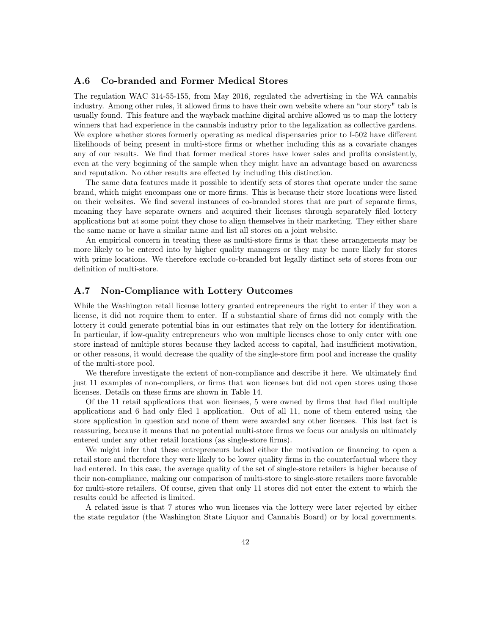### A.6 Co-branded and Former Medical Stores

The regulation WAC 314-55-155, from May 2016, regulated the advertising in the WA cannabis industry. Among other rules, it allowed firms to have their own website where an "our story" tab is usually found. This feature and the wayback machine digital archive allowed us to map the lottery winners that had experience in the cannabis industry prior to the legalization as collective gardens. We explore whether stores formerly operating as medical dispensaries prior to I-502 have different likelihoods of being present in multi-store firms or whether including this as a covariate changes any of our results. We find that former medical stores have lower sales and profits consistently, even at the very beginning of the sample when they might have an advantage based on awareness and reputation. No other results are effected by including this distinction.

The same data features made it possible to identify sets of stores that operate under the same brand, which might encompass one or more firms. This is because their store locations were listed on their websites. We find several instances of co-branded stores that are part of separate firms, meaning they have separate owners and acquired their licenses through separately filed lottery applications but at some point they chose to align themselves in their marketing. They either share the same name or have a similar name and list all stores on a joint website.

An empirical concern in treating these as multi-store firms is that these arrangements may be more likely to be entered into by higher quality managers or they may be more likely for stores with prime locations. We therefore exclude co-branded but legally distinct sets of stores from our definition of multi-store.

### A.7 Non-Compliance with Lottery Outcomes

While the Washington retail license lottery granted entrepreneurs the right to enter if they won a license, it did not require them to enter. If a substantial share of firms did not comply with the lottery it could generate potential bias in our estimates that rely on the lottery for identification. In particular, if low-quality entrepreneurs who won multiple licenses chose to only enter with one store instead of multiple stores because they lacked access to capital, had insufficient motivation, or other reasons, it would decrease the quality of the single-store firm pool and increase the quality of the multi-store pool.

We therefore investigate the extent of non-compliance and describe it here. We ultimately find just 11 examples of non-compliers, or firms that won licenses but did not open stores using those licenses. Details on these firms are shown in Table 14.

Of the 11 retail applications that won licenses, 5 were owned by firms that had filed multiple applications and 6 had only filed 1 application. Out of all 11, none of them entered using the store application in question and none of them were awarded any other licenses. This last fact is reassuring, because it means that no potential multi-store firms we focus our analysis on ultimately entered under any other retail locations (as single-store firms).

We might infer that these entrepreneurs lacked either the motivation or financing to open a retail store and therefore they were likely to be lower quality firms in the counterfactual where they had entered. In this case, the average quality of the set of single-store retailers is higher because of their non-compliance, making our comparison of multi-store to single-store retailers more favorable for multi-store retailers. Of course, given that only 11 stores did not enter the extent to which the results could be affected is limited.

A related issue is that 7 stores who won licenses via the lottery were later rejected by either the state regulator (the Washington State Liquor and Cannabis Board) or by local governments.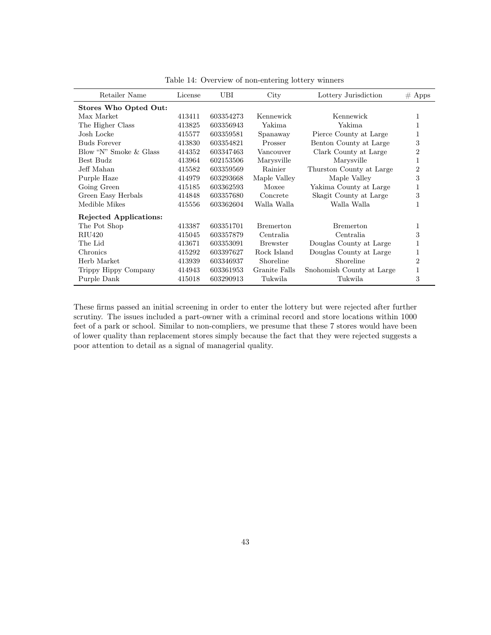| Retailer Name          | License | UBI       | City             | Lottery Jurisdiction      | $#$ Apps |
|------------------------|---------|-----------|------------------|---------------------------|----------|
| Stores Who Opted Out:  |         |           |                  |                           |          |
| Max Market             | 413411  | 603354273 | Kennewick        | Kennewick                 |          |
| The Higher Class       | 413825  | 603356943 | Yakima           | Yakima                    |          |
| Josh Locke             | 415577  | 603359581 | Spanaway         | Pierce County at Large    |          |
| <b>Buds Forever</b>    | 413830  | 603354821 | Prosser          | Benton County at Large    | 3        |
| Blow "N" Smoke & Glass | 414352  | 603347463 | Vancouver        | Clark County at Large     | 2        |
| Best Budz              | 413964  | 602153506 | Marysville       | Marysville                | 1        |
| Jeff Mahan             | 415582  | 603359569 | Rainier          | Thurston County at Large  | 2        |
| Purple Haze            | 414979  | 603293668 | Maple Valley     | Maple Valley              | 3        |
| Going Green            | 415185  | 603362593 | Moxee            | Yakima County at Large    | 1        |
| Green Easy Herbals     | 414848  | 603357680 | Concrete         | Skagit County at Large    | 3        |
| Medible Mikes          | 415556  | 603362604 | Walla Walla      | Walla Walla               |          |
| Rejected Applications: |         |           |                  |                           |          |
| The Pot Shop           | 413387  | 603351701 | <b>Bremerton</b> | <b>Bremerton</b>          | 1        |
| RIU420                 | 415045  | 603357879 | Centralia        | Centralia                 | 3        |
| The Lid                | 413671  | 603353091 | <b>Brewster</b>  | Douglas County at Large   |          |
| Chronics               | 415292  | 603397627 | Rock Island      | Douglas County at Large   | 1        |
| Herb Market            | 413939  | 603346937 | Shoreline        | Shoreline                 | 2        |
| Trippy Hippy Company   | 414943  | 603361953 | Granite Falls    | Snohomish County at Large | 1        |
| Purple Dank            | 415018  | 603290913 | Tukwila          | Tukwila                   | 3        |
|                        |         |           |                  |                           |          |

Table 14: Overview of non-entering lottery winners

These firms passed an initial screening in order to enter the lottery but were rejected after further scrutiny. The issues included a part-owner with a criminal record and store locations within 1000 feet of a park or school. Similar to non-compliers, we presume that these 7 stores would have been of lower quality than replacement stores simply because the fact that they were rejected suggests a poor attention to detail as a signal of managerial quality.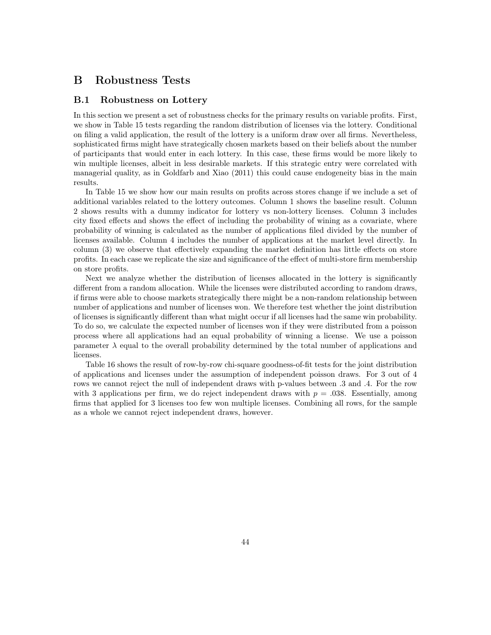### B Robustness Tests

### B.1 Robustness on Lottery

In this section we present a set of robustness checks for the primary results on variable profits. First, we show in Table 15 tests regarding the random distribution of licenses via the lottery. Conditional on filing a valid application, the result of the lottery is a uniform draw over all firms. Nevertheless, sophisticated firms might have strategically chosen markets based on their beliefs about the number of participants that would enter in each lottery. In this case, these firms would be more likely to win multiple licenses, albeit in less desirable markets. If this strategic entry were correlated with managerial quality, as in Goldfarb and Xiao (2011) this could cause endogeneity bias in the main results.

In Table 15 we show how our main results on profits across stores change if we include a set of additional variables related to the lottery outcomes. Column 1 shows the baseline result. Column 2 shows results with a dummy indicator for lottery vs non-lottery licenses. Column 3 includes city fixed effects and shows the effect of including the probability of wining as a covariate, where probability of winning is calculated as the number of applications filed divided by the number of licenses available. Column 4 includes the number of applications at the market level directly. In column (3) we observe that effectively expanding the market definition has little effects on store profits. In each case we replicate the size and significance of the effect of multi-store firm membership on store profits.

Next we analyze whether the distribution of licenses allocated in the lottery is significantly different from a random allocation. While the licenses were distributed according to random draws, if firms were able to choose markets strategically there might be a non-random relationship between number of applications and number of licenses won. We therefore test whether the joint distribution of licenses is significantly different than what might occur if all licenses had the same win probability. To do so, we calculate the expected number of licenses won if they were distributed from a poisson process where all applications had an equal probability of winning a license. We use a poisson parameter  $\lambda$  equal to the overall probability determined by the total number of applications and licenses.

Table 16 shows the result of row-by-row chi-square goodness-of-fit tests for the joint distribution of applications and licenses under the assumption of independent poisson draws. For 3 out of 4 rows we cannot reject the null of independent draws with p-values between .3 and .4. For the row with 3 applications per firm, we do reject independent draws with  $p = .038$ . Essentially, among firms that applied for 3 licenses too few won multiple licenses. Combining all rows, for the sample as a whole we cannot reject independent draws, however.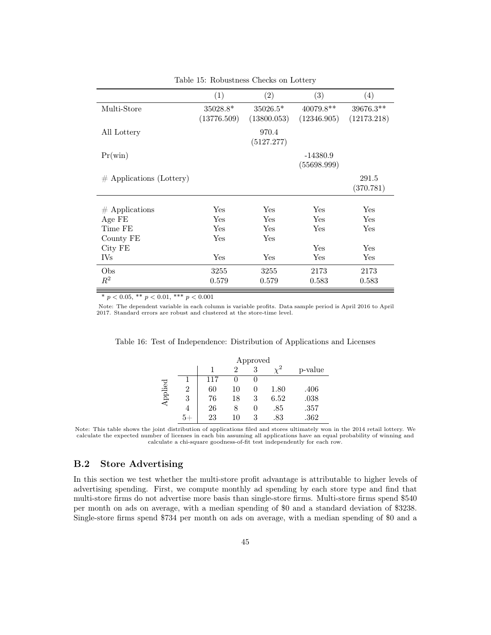|                             | (1)         | (2)         | (3)         | (4)         |
|-----------------------------|-------------|-------------|-------------|-------------|
| Multi-Store                 | $35028.8*$  | $35026.5*$  | $40079.8**$ | $39676.3**$ |
|                             | (13776.509) | (13800.053) | (12346.905) | (12173.218) |
| All Lottery                 |             | 970.4       |             |             |
|                             |             | (5127.277)  |             |             |
| $Pr(\text{win})$            |             |             | $-14380.9$  |             |
|                             |             |             | (55698.999) |             |
| $\#$ Applications (Lottery) |             |             |             | 291.5       |
|                             |             |             |             | (370.781)   |
|                             |             |             |             |             |
| $#$ Applications            | Yes         | Yes         | Yes         | Yes         |
| Age FE                      | Yes         | Yes         | Yes         | Yes         |
| Time FE                     | Yes         | <b>Yes</b>  | Yes         | Yes         |
| County FE                   | Yes         | Yes         |             |             |
| City FE                     |             |             | Yes         | Yes         |
| <b>IVs</b>                  | Yes         | Yes         | Yes         | Yes         |
| Obs                         | 3255        | 3255        | 2173        | 2173        |
| $\mathbb{R}^2$              | 0.579       | 0.579       | 0.583       | 0.583       |

Table 15: Robustness Checks on Lottery

\*  $p < 0.05$ , \*\*  $p < 0.01$ , \*\*\*  $p < 0.001$ 

Note: The dependent variable in each column is variable profits. Data sample period is April 2016 to April 2017. Standard errors are robust and clustered at the store-time level.

|         | Approved |     |    |   |      |         |
|---------|----------|-----|----|---|------|---------|
|         |          |     |    |   |      | p-value |
|         |          | 117 |    |   |      |         |
|         |          | 60  | 10 |   | 1.80 | .406    |
| Applied | 3        | 76  | 18 | 3 | 6.52 | .038    |
|         |          | 26  |    |   | .85  | .357    |
|         |          | 23  | 10 |   | .83  | .362    |

Table 16: Test of Independence: Distribution of Applications and Licenses

Note: This table shows the joint distribution of applications filed and stores ultimately won in the 2014 retail lottery. We calculate the expected number of licenses in each bin assuming all applications have an equal probability of winning and calculate a chi-square goodness-of-fit test independently for each row.

### B.2 Store Advertising

In this section we test whether the multi-store profit advantage is attributable to higher levels of advertising spending. First, we compute monthly ad spending by each store type and find that multi-store firms do not advertise more basis than single-store firms. Multi-store firms spend \$540 per month on ads on average, with a median spending of \$0 and a standard deviation of \$3238. Single-store firms spend \$734 per month on ads on average, with a median spending of \$0 and a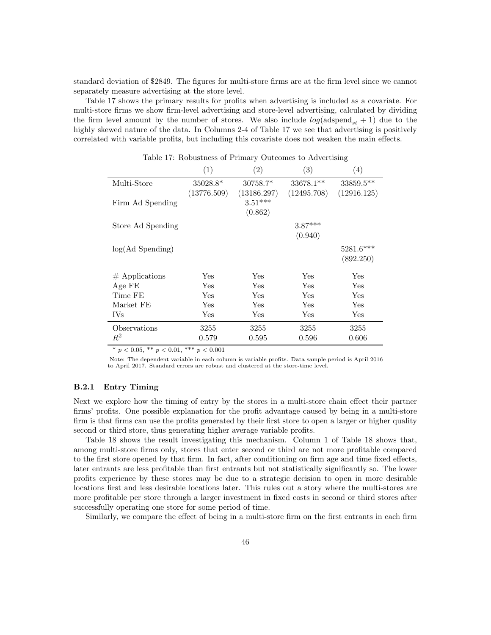standard deviation of \$2849. The figures for multi-store firms are at the firm level since we cannot separately measure advertising at the store level.

Table 17 shows the primary results for profits when advertising is included as a covariate. For multi-store firms we show firm-level advertising and store-level advertising, calculated by dividing the firm level amount by the number of stores. We also include  $log(\text{adspend}_{st} + 1)$  due to the highly skewed nature of the data. In Columns 2-4 of Table 17 we see that advertising is positively correlated with variable profits, but including this covariate does not weaken the main effects.

|                   | (1)         | (2)                                 | (3)         | (4)         |
|-------------------|-------------|-------------------------------------|-------------|-------------|
| Multi-Store       | 35028.8*    | 30758.7*                            | $33678.1**$ | 33859.5**   |
| Firm Ad Spending  | (13776.509) | (13186.297)<br>$3.51***$<br>(0.862) | (12495.708) | (12916.125) |
| Store Ad Spending |             |                                     | $3.87***$   |             |
|                   |             |                                     | (0.940)     |             |
| log(Ad Spending)  |             |                                     |             | 5281.6***   |
|                   |             |                                     |             | (892.250)   |
| $#$ Applications  | <b>Yes</b>  | Yes                                 | <b>Yes</b>  | Yes         |
| Age FE            | Yes         | Yes                                 | Yes         | Yes         |
| Time FE           | <b>Yes</b>  | <b>Yes</b>                          | Yes         | Yes         |
| Market FE         | Yes         | Yes                                 | Yes         | Yes         |
| <b>IVs</b>        | Yes         | Yes                                 | Yes         | Yes         |
| Observations      | 3255        | 3255                                | 3255        | 3255        |
| $R^2$             | 0.579       | 0.595                               | 0.596       | 0.606       |

Table 17: Robustness of Primary Outcomes to Advertising

\*  $p < 0.05$ , \*\*  $p < 0.01$ , \*\*\*  $p < 0.001$ 

Note: The dependent variable in each column is variable profits. Data sample period is April 2016 to April 2017. Standard errors are robust and clustered at the store-time level.

#### B.2.1 Entry Timing

Next we explore how the timing of entry by the stores in a multi-store chain effect their partner firms' profits. One possible explanation for the profit advantage caused by being in a multi-store firm is that firms can use the profits generated by their first store to open a larger or higher quality second or third store, thus generating higher average variable profits.

Table 18 shows the result investigating this mechanism. Column 1 of Table 18 shows that, among multi-store firms only, stores that enter second or third are not more profitable compared to the first store opened by that firm. In fact, after conditioning on firm age and time fixed effects, later entrants are less profitable than first entrants but not statistically significantly so. The lower profits experience by these stores may be due to a strategic decision to open in more desirable locations first and less desirable locations later. This rules out a story where the multi-stores are more profitable per store through a larger investment in fixed costs in second or third stores after successfully operating one store for some period of time.

Similarly, we compare the effect of being in a multi-store firm on the first entrants in each firm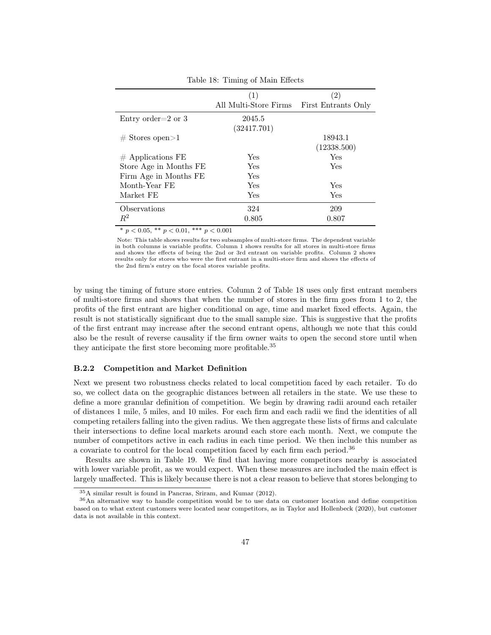|                                | (1)                   | (2)                 |
|--------------------------------|-----------------------|---------------------|
|                                | All Multi-Store Firms | First Entrants Only |
| Entry order= $2 \text{ or } 3$ | 2045.5                |                     |
|                                | (32417.701)           |                     |
| $#$ Stores open $>1$           |                       | 18943.1             |
|                                |                       | (12338.500)         |
| $#$ Applications FE            | Yes                   | Yes                 |
| Store Age in Months FE         | <b>Yes</b>            | Yes                 |
| Firm Age in Months FE          | Yes                   |                     |
| Month-Year FE                  | Yes                   | Yes                 |
| Market FE                      | Yes                   | Yes                 |
| Observations                   | 324                   | 209                 |
| $R^2$                          | 0.805                 | 0.807               |

Table 18: Timing of Main Effects

\*  $p < 0.05$ , \*\*  $p < 0.01$ , \*\*\*  $p < 0.001$ 

Note: This table shows results for two subsamples of multi-store firms. The dependent variable in both columns is variable profits. Column 1 shows results for all stores in multi-store firms and shows the effects of being the 2nd or 3rd entrant on variable profits. Column 2 shows results only for stores who were the first entrant in a multi-store firm and shows the effects of the 2nd firm's entry on the focal stores variable profits.

by using the timing of future store entries. Column 2 of Table 18 uses only first entrant members of multi-store firms and shows that when the number of stores in the firm goes from 1 to 2, the profits of the first entrant are higher conditional on age, time and market fixed effects. Again, the result is not statistically significant due to the small sample size. This is suggestive that the profits of the first entrant may increase after the second entrant opens, although we note that this could also be the result of reverse causality if the firm owner waits to open the second store until when they anticipate the first store becoming more profitable.<sup>35</sup>

#### B.2.2 Competition and Market Definition

Next we present two robustness checks related to local competition faced by each retailer. To do so, we collect data on the geographic distances between all retailers in the state. We use these to define a more granular definition of competition. We begin by drawing radii around each retailer of distances 1 mile, 5 miles, and 10 miles. For each firm and each radii we find the identities of all competing retailers falling into the given radius. We then aggregate these lists of firms and calculate their intersections to define local markets around each store each month. Next, we compute the number of competitors active in each radius in each time period. We then include this number as a covariate to control for the local competition faced by each firm each period.<sup>36</sup>

Results are shown in Table 19. We find that having more competitors nearby is associated with lower variable profit, as we would expect. When these measures are included the main effect is largely unaffected. This is likely because there is not a clear reason to believe that stores belonging to

<sup>35</sup>A similar result is found in Pancras, Sriram, and Kumar (2012).

<sup>36</sup>An alternative way to handle competition would be to use data on customer location and define competition based on to what extent customers were located near competitors, as in Taylor and Hollenbeck (2020), but customer data is not available in this context.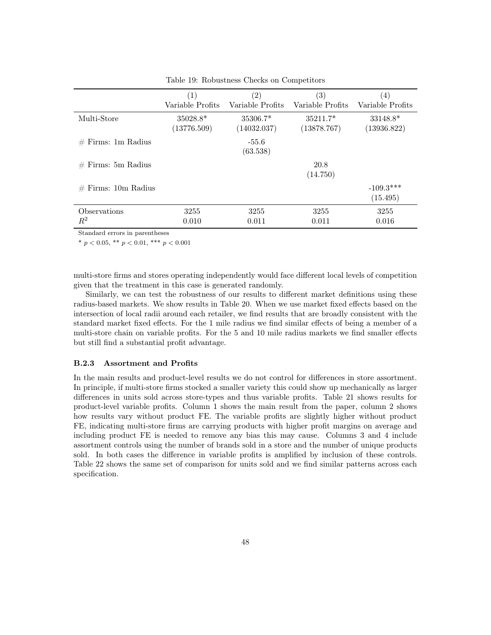|                       | (1)              | $\left( 2\right)$   | $\left( 3\right)$ | (4)                     |
|-----------------------|------------------|---------------------|-------------------|-------------------------|
|                       | Variable Profits | Variable Profits    | Variable Profits  | Variable Profits        |
| Multi-Store           | $35028.8*$       | $35306.7*$          | $35211.7*$        | 33148.8*                |
|                       | (13776.509)      | (14032.037)         | (13878.767)       | (13936.822)             |
| $#$ Firms: 1m Radius  |                  | $-55.6$<br>(63.538) |                   |                         |
| $#$ Firms: 5m Radius  |                  |                     | 20.8<br>(14.750)  |                         |
| $#$ Firms: 10m Radius |                  |                     |                   | $-109.3***$<br>(15.495) |
| Observations          | 3255             | 3255                | 3255              | 3255                    |
| $\,R^2$               | 0.010            | 0.011               | 0.011             | 0.016                   |

Table 19: Robustness Checks on Competitors

\*  $p < 0.05$ , \*\*  $p < 0.01$ , \*\*\*  $p < 0.001$ 

multi-store firms and stores operating independently would face different local levels of competition given that the treatment in this case is generated randomly.

Similarly, we can test the robustness of our results to different market definitions using these radius-based markets. We show results in Table 20. When we use market fixed effects based on the intersection of local radii around each retailer, we find results that are broadly consistent with the standard market fixed effects. For the 1 mile radius we find similar effects of being a member of a multi-store chain on variable profits. For the 5 and 10 mile radius markets we find smaller effects but still find a substantial profit advantage.

#### B.2.3 Assortment and Profits

In the main results and product-level results we do not control for differences in store assortment. In principle, if multi-store firms stocked a smaller variety this could show up mechanically as larger differences in units sold across store-types and thus variable profits. Table 21 shows results for product-level variable profits. Column 1 shows the main result from the paper, column 2 shows how results vary without product FE. The variable profits are slightly higher without product FE, indicating multi-store firms are carrying products with higher profit margins on average and including product FE is needed to remove any bias this may cause. Columns 3 and 4 include assortment controls using the number of brands sold in a store and the number of unique products sold. In both cases the difference in variable profits is amplified by inclusion of these controls. Table 22 shows the same set of comparison for units sold and we find similar patterns across each specification.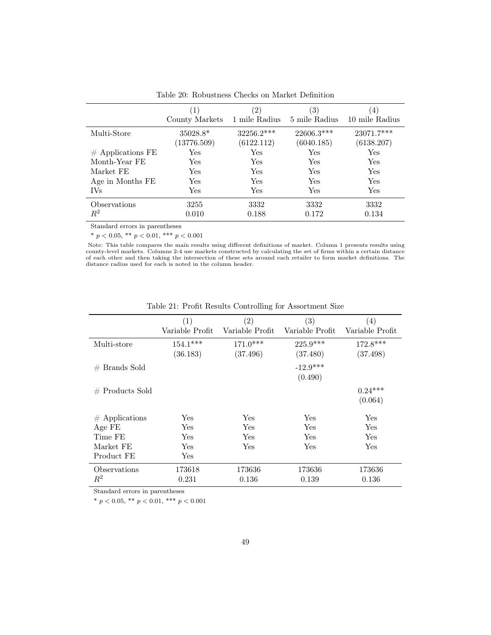|                       | $\perp$<br>County Markets | $\left[ 2\right]$<br>1 mile Radius | 3)<br>5 mile Radius      | $\left( 4\right)$<br>10 mile Radius |
|-----------------------|---------------------------|------------------------------------|--------------------------|-------------------------------------|
| Multi-Store           | $35028.8*$<br>(13776.509) | 32256.2***<br>(6122.112)           | 22606.3***<br>(6040.185) | 23071.7***<br>(6138.207)            |
| $#$ Applications FE   | Yes                       | Yes                                | Yes                      | Yes                                 |
| Month-Year FE         | Yes                       | Yes                                | Yes                      | Yes                                 |
| Market FE             | Yes                       | Yes                                | Yes                      | Yes                                 |
| Age in Months FE      | Yes                       | Yes                                | Yes                      | Yes                                 |
| <b>IVs</b>            | Yes                       | Yes                                | Yes                      | Yes                                 |
| Observations<br>$R^2$ | 3255<br>0.010             | 3332<br>0.188                      | 3332<br>0.172            | 3332<br>0.134                       |

Table 20: Robustness Checks on Market Definition

\*  $p < 0.05$ , \*\*  $p < 0.01$ , \*\*\*  $p < 0.001$ 

Note: This table compares the main results using different definitions of market. Column 1 presents results using<br>county-level markets. Columns 2-4 use markets constructed by calculating the set of firms within a certain d of each other and then taking the intersection of these sets around each retailer to form market definitions. The distance radius used for each is noted in the column header.

|                   | (1)             | $\left( 2\right)$ | $\left( 3\right)$ | $\left(4\right)$ |
|-------------------|-----------------|-------------------|-------------------|------------------|
|                   | Variable Profit | Variable Profit   | Variable Profit   | Variable Profit  |
| Multi-store       | $154.1***$      | $171.0***$        | $225.9***$        | $172.8***$       |
|                   | (36.183)        | (37.496)          | (37.480)          | (37.498)         |
| $#$ Brands Sold   |                 |                   | $-12.9***$        |                  |
|                   |                 |                   | (0.490)           |                  |
| $#$ Products Sold |                 |                   |                   | $0.24***$        |
|                   |                 |                   |                   | (0.064)          |
| $#$ Applications  | $_{\rm Yes}$    | Yes               | Yes               | Yes              |
| Age FE            | $_{\rm Yes}$    | Yes               | Yes               | Yes              |
| Time FE           | Yes             | Yes               | Yes               | Yes              |
| Market FE         | Yes             | Yes               | Yes               | Yes              |
| Product FE        | Yes             |                   |                   |                  |
| Observations      | 173618          | 173636            | 173636            | 173636           |
| $R^2$             | 0.231           | 0.136             | 0.139             | 0.136            |

Table 21: Profit Results Controlling for Assortment Size

Standard errors in parentheses

\*  $p < 0.05$ , \*\*  $p < 0.01$ , \*\*\*  $p < 0.001$